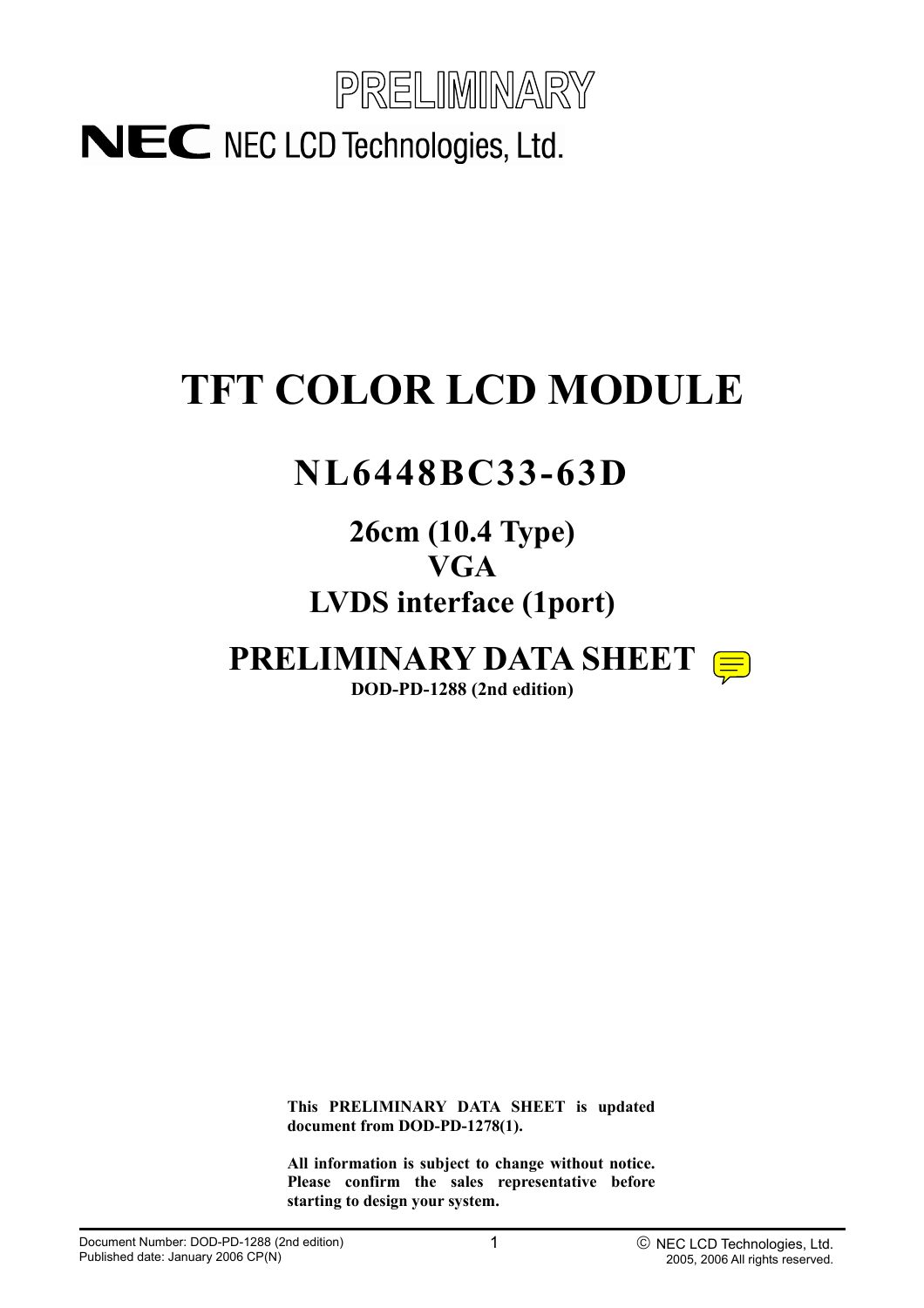

# **TFT COLOR LCD MODULE**

# **NL6448BC33-63D**

## **26cm (10.4 Type) VGA LVDS interface (1port)**

# **PRELIMINARY DATA SHEET**



**DOD-PD-1288 (2nd edition)** 

**This PRELIMINARY DATA SHEET is updated document from DOD-PD-1278(1).** 

**All information is subject to change without notice. Please confirm the sales representative before starting to design your system.**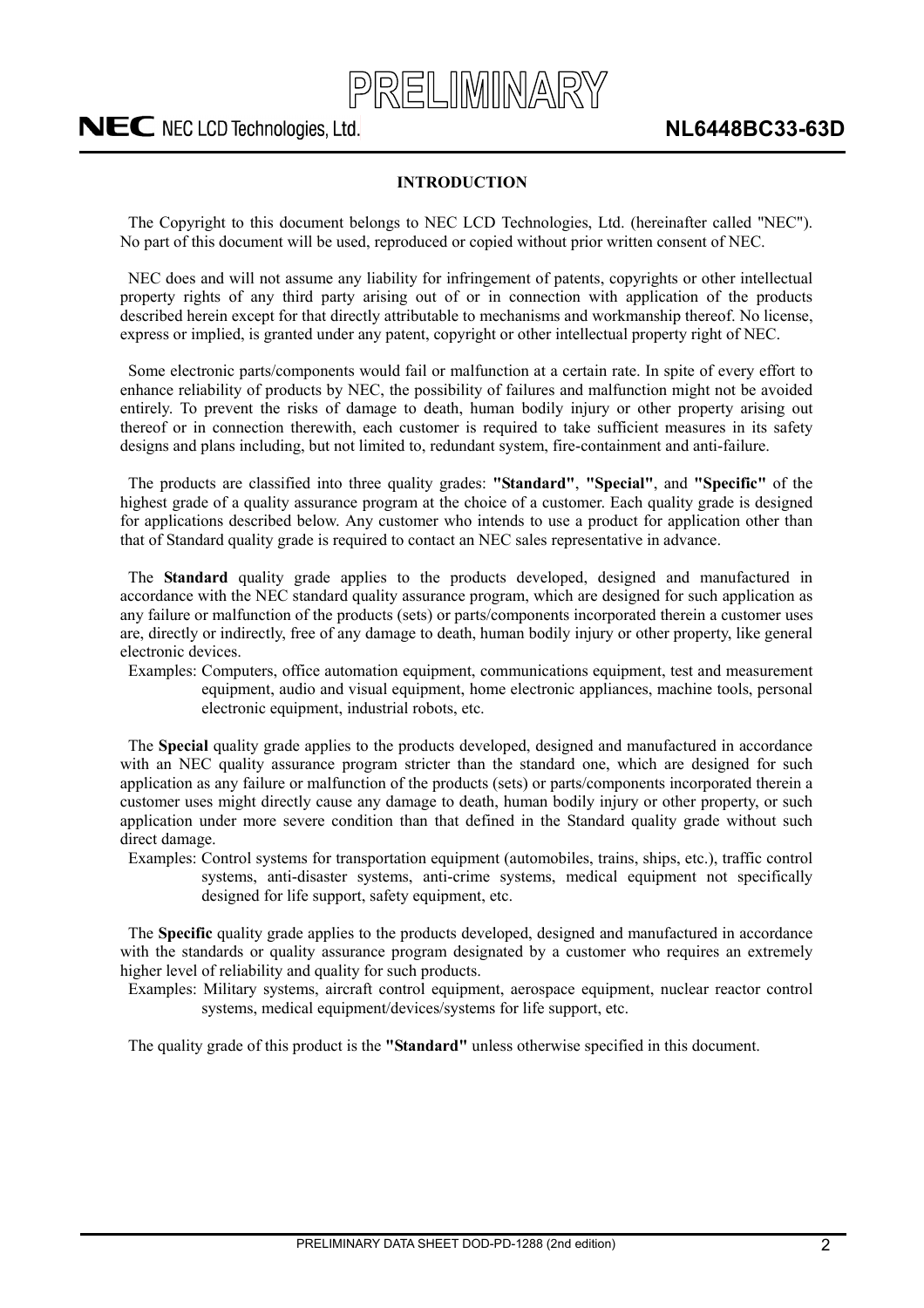

#### **INTRODUCTION**

The Copyright to this document belongs to NEC LCD Technologies, Ltd. (hereinafter called "NEC"). No part of this document will be used, reproduced or copied without prior written consent of NEC.

NEC does and will not assume any liability for infringement of patents, copyrights or other intellectual property rights of any third party arising out of or in connection with application of the products described herein except for that directly attributable to mechanisms and workmanship thereof. No license, express or implied, is granted under any patent, copyright or other intellectual property right of NEC.

Some electronic parts/components would fail or malfunction at a certain rate. In spite of every effort to enhance reliability of products by NEC, the possibility of failures and malfunction might not be avoided entirely. To prevent the risks of damage to death, human bodily injury or other property arising out thereof or in connection therewith, each customer is required to take sufficient measures in its safety designs and plans including, but not limited to, redundant system, fire-containment and anti-failure.

The products are classified into three quality grades: **"Standard"**, **"Special"**, and **"Specific"** of the highest grade of a quality assurance program at the choice of a customer. Each quality grade is designed for applications described below. Any customer who intends to use a product for application other than that of Standard quality grade is required to contact an NEC sales representative in advance.

The **Standard** quality grade applies to the products developed, designed and manufactured in accordance with the NEC standard quality assurance program, which are designed for such application as any failure or malfunction of the products (sets) or parts/components incorporated therein a customer uses are, directly or indirectly, free of any damage to death, human bodily injury or other property, like general electronic devices.

Examples: Computers, office automation equipment, communications equipment, test and measurement equipment, audio and visual equipment, home electronic appliances, machine tools, personal electronic equipment, industrial robots, etc.

The **Special** quality grade applies to the products developed, designed and manufactured in accordance with an NEC quality assurance program stricter than the standard one, which are designed for such application as any failure or malfunction of the products (sets) or parts/components incorporated therein a customer uses might directly cause any damage to death, human bodily injury or other property, or such application under more severe condition than that defined in the Standard quality grade without such direct damage.

Examples: Control systems for transportation equipment (automobiles, trains, ships, etc.), traffic control systems, anti-disaster systems, anti-crime systems, medical equipment not specifically designed for life support, safety equipment, etc.

The **Specific** quality grade applies to the products developed, designed and manufactured in accordance with the standards or quality assurance program designated by a customer who requires an extremely higher level of reliability and quality for such products.

Examples: Military systems, aircraft control equipment, aerospace equipment, nuclear reactor control systems, medical equipment/devices/systems for life support, etc.

The quality grade of this product is the **"Standard"** unless otherwise specified in this document.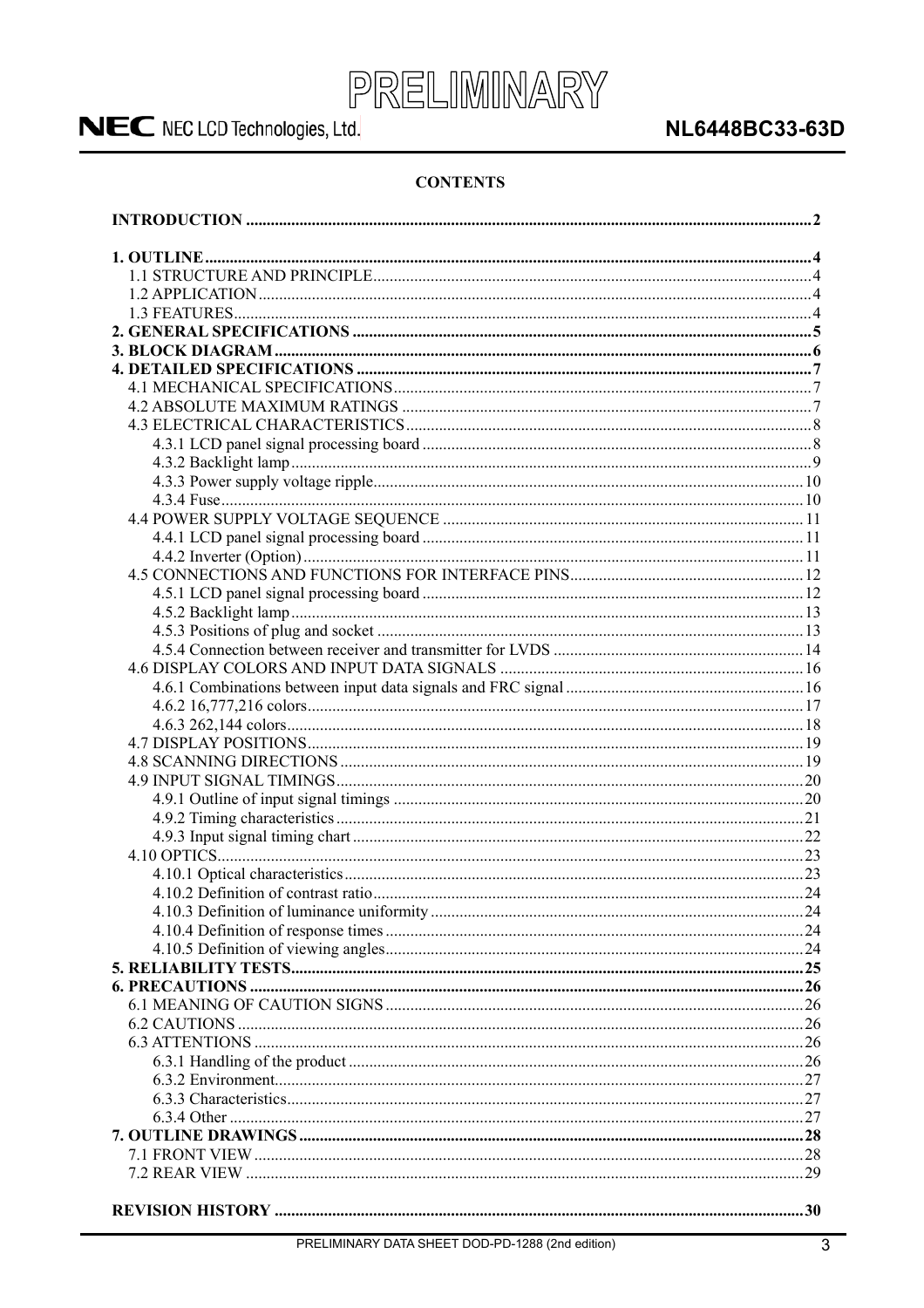

### **NL6448BC33-63D**

#### **CONTENTS**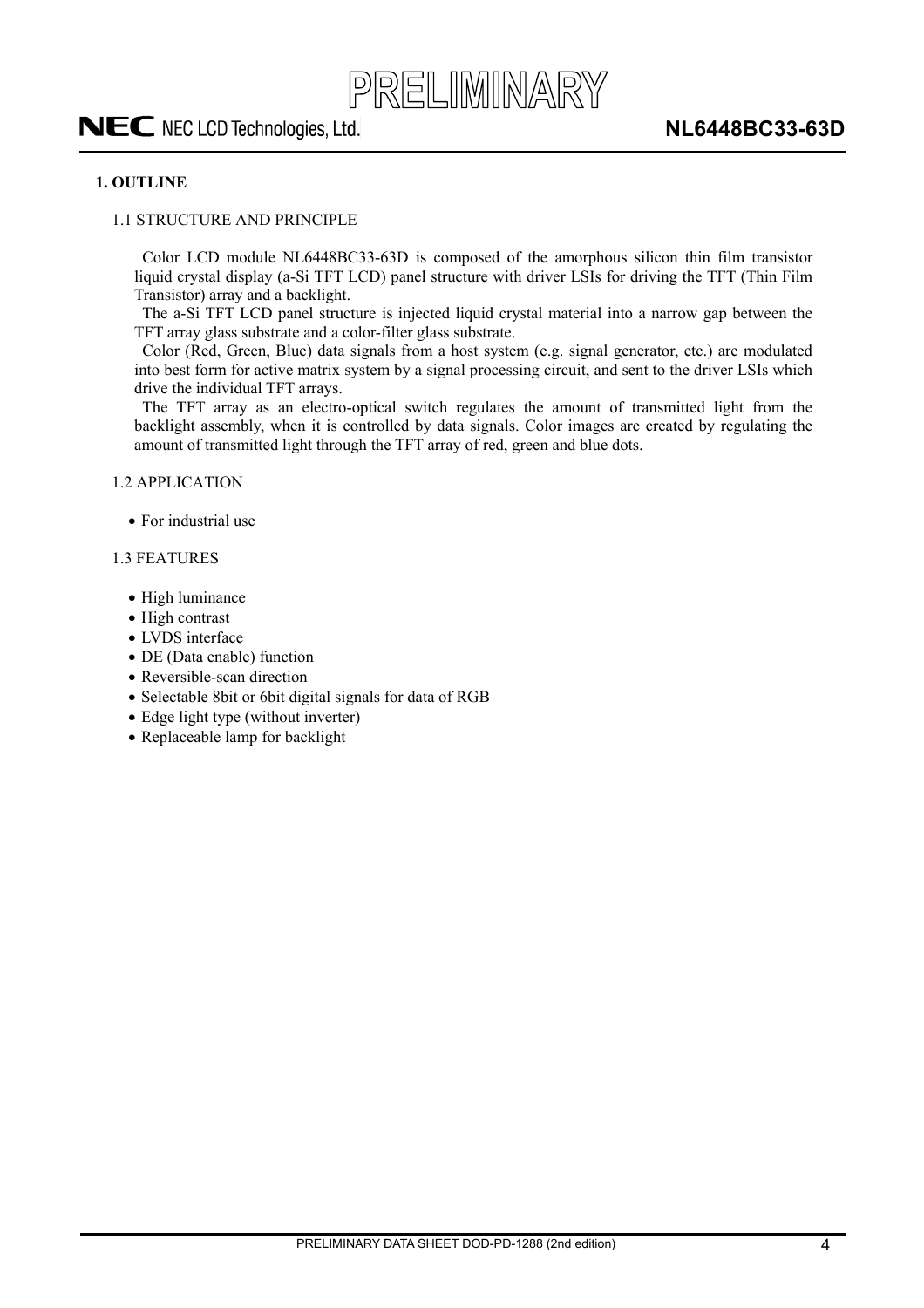

#### **1. OUTLINE**

#### 1.1 STRUCTURE AND PRINCIPLE

Color LCD module NL6448BC33-63D is composed of the amorphous silicon thin film transistor liquid crystal display (a-Si TFT LCD) panel structure with driver LSIs for driving the TFT (Thin Film Transistor) array and a backlight.

The a-Si TFT LCD panel structure is injected liquid crystal material into a narrow gap between the TFT array glass substrate and a color-filter glass substrate.

Color (Red, Green, Blue) data signals from a host system (e.g. signal generator, etc.) are modulated into best form for active matrix system by a signal processing circuit, and sent to the driver LSIs which drive the individual TFT arrays.

The TFT array as an electro-optical switch regulates the amount of transmitted light from the backlight assembly, when it is controlled by data signals. Color images are created by regulating the amount of transmitted light through the TFT array of red, green and blue dots.

1.2 APPLICATION

 $\bullet$  For industrial use

#### 1.3 FEATURES

- $\bullet$  High luminance
- $\bullet$  High contrast
- LVDS interface
- DE (Data enable) function
- $\bullet$  Reversible-scan direction
- Selectable 8bit or 6bit digital signals for data of RGB
- $\bullet$  Edge light type (without inverter)
- Replaceable lamp for backlight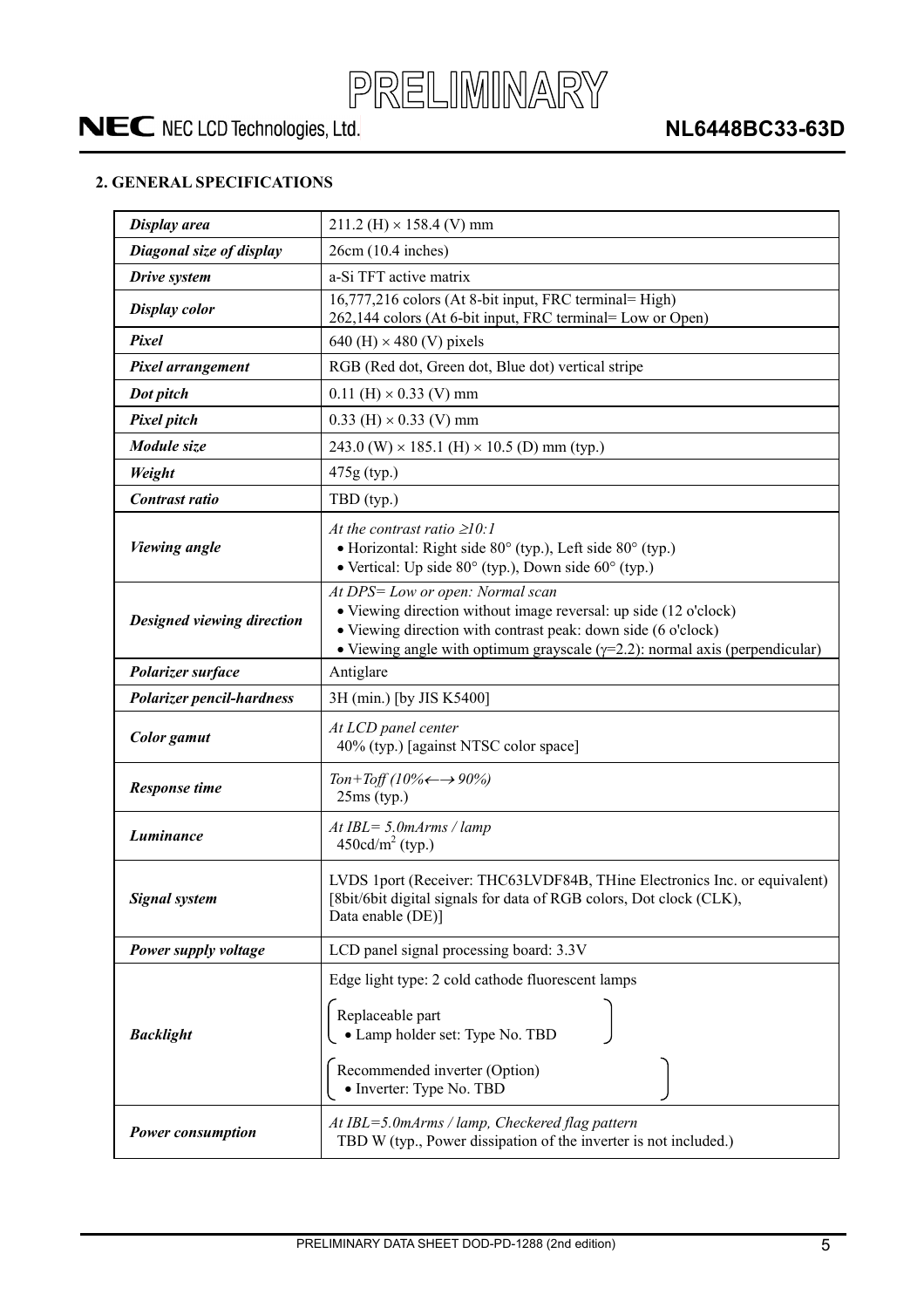

#### **2. GENERAL SPECIFICATIONS**

| Display area               | $211.2$ (H) $\times$ 158.4 (V) mm                                                                                                                                                                                                                            |
|----------------------------|--------------------------------------------------------------------------------------------------------------------------------------------------------------------------------------------------------------------------------------------------------------|
| Diagonal size of display   | 26cm (10.4 inches)                                                                                                                                                                                                                                           |
| Drive system               | a-Si TFT active matrix                                                                                                                                                                                                                                       |
| <b>Display color</b>       | 16,777,216 colors (At 8-bit input, FRC terminal= High)<br>262,144 colors (At 6-bit input, FRC terminal= Low or Open)                                                                                                                                         |
| Pixel                      | 640 (H) $\times$ 480 (V) pixels                                                                                                                                                                                                                              |
| Pixel arrangement          | RGB (Red dot, Green dot, Blue dot) vertical stripe                                                                                                                                                                                                           |
| Dot pitch                  | $0.11$ (H) $\times$ 0.33 (V) mm                                                                                                                                                                                                                              |
| <b>Pixel pitch</b>         | $0.33$ (H) $\times$ 0.33 (V) mm                                                                                                                                                                                                                              |
| Module size                | 243.0 (W) $\times$ 185.1 (H) $\times$ 10.5 (D) mm (typ.)                                                                                                                                                                                                     |
| Weight                     | 475g (typ.)                                                                                                                                                                                                                                                  |
| Contrast ratio             | TBD (typ.)                                                                                                                                                                                                                                                   |
| <b>Viewing angle</b>       | At the contrast ratio $\geq 10$ :<br>• Horizontal: Right side $80^\circ$ (typ.), Left side $80^\circ$ (typ.)<br>• Vertical: Up side $80^{\circ}$ (typ.), Down side $60^{\circ}$ (typ.)                                                                       |
| Designed viewing direction | At DPS= Low or open: Normal scan<br>• Viewing direction without image reversal: up side (12 o'clock)<br>• Viewing direction with contrast peak: down side (6 o'clock)<br>• Viewing angle with optimum grayscale $(\gamma=2.2)$ : normal axis (perpendicular) |
| Polarizer surface          | Antiglare                                                                                                                                                                                                                                                    |
| Polarizer pencil-hardness  | 3H (min.) [by JIS K5400]                                                                                                                                                                                                                                     |
| Color gamut                | At LCD panel center<br>40% (typ.) [against NTSC color space]                                                                                                                                                                                                 |
| <b>Response time</b>       | Ton+Toff (10% $\leftarrow \rightarrow 90\%$ )<br>$25ms$ (typ.)                                                                                                                                                                                               |
| Luminance                  | At $IBL = 5.0$ m $Arms / lamp$<br>$450cd/m2$ (typ.)                                                                                                                                                                                                          |
| <b>Signal system</b>       | LVDS 1port (Receiver: THC63LVDF84B, THine Electronics Inc. or equivalent)<br>[8bit/6bit digital signals for data of RGB colors, Dot clock (CLK),<br>Data enable (DE)]                                                                                        |
| Power supply voltage       | LCD panel signal processing board: 3.3V                                                                                                                                                                                                                      |
| <b>Backlight</b>           | Edge light type: 2 cold cathode fluorescent lamps<br>Replaceable part<br>· Lamp holder set: Type No. TBD<br>Recommended inverter (Option)<br>• Inverter: Type No. TBD                                                                                        |
| <b>Power consumption</b>   | At IBL=5.0mArms / lamp, Checkered flag pattern<br>TBD W (typ., Power dissipation of the inverter is not included.)                                                                                                                                           |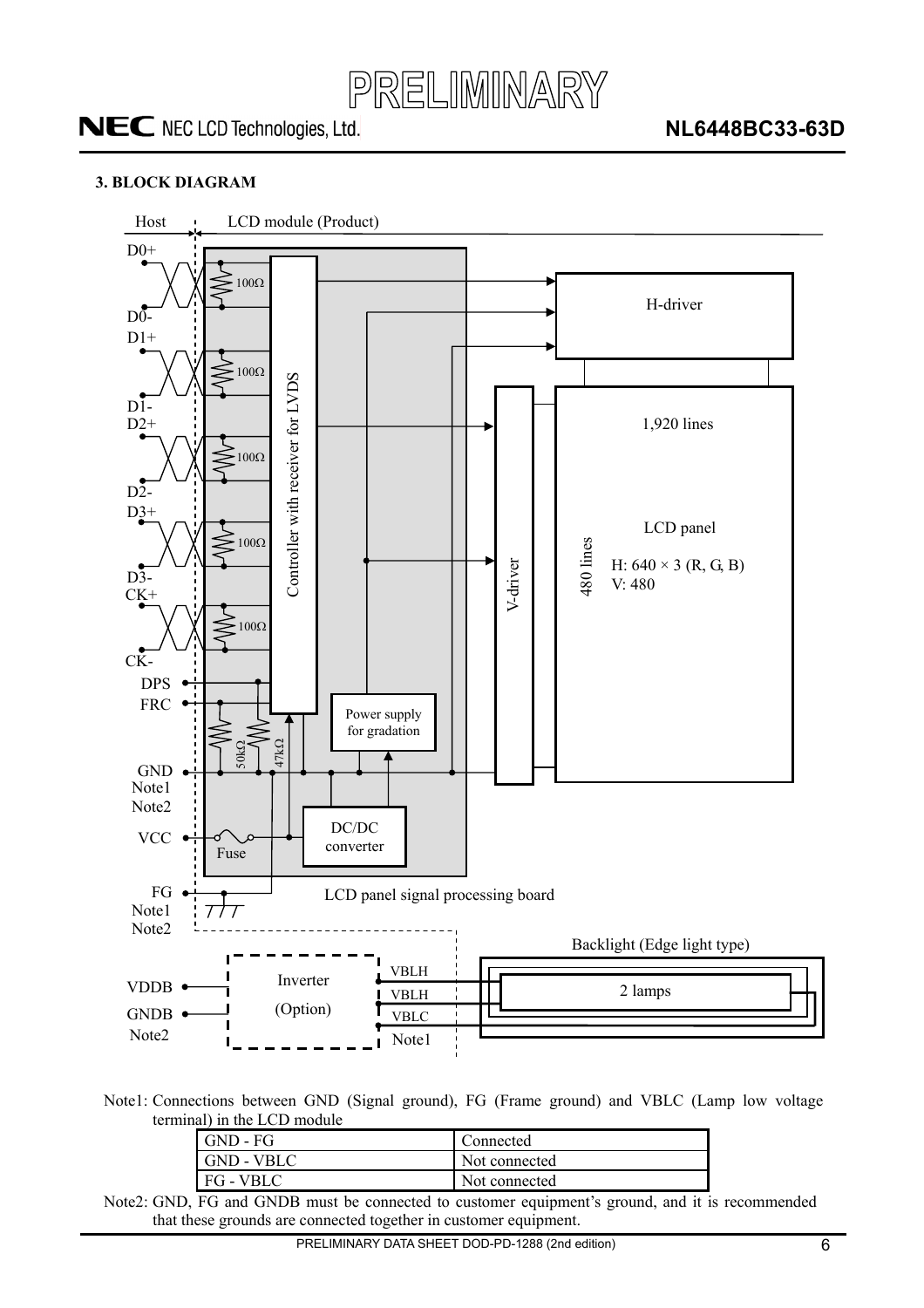

#### **3. BLOCK DIAGRAM**



Note1: Connections between GND (Signal ground), FG (Frame ground) and VBLC (Lamp low voltage terminal) in the LCD module

| GND - FG                              | Connected     |
|---------------------------------------|---------------|
| GND - VBLC                            | Not connected |
| FG - VBLC                             | Not connected |
| $\sim$<br>$\sim$ $\sim$ $\sim$ $\sim$ |               |

Note2: GND, FG and GNDB must be connected to customer equipment's ground, and it is recommended that these grounds are connected together in customer equipment.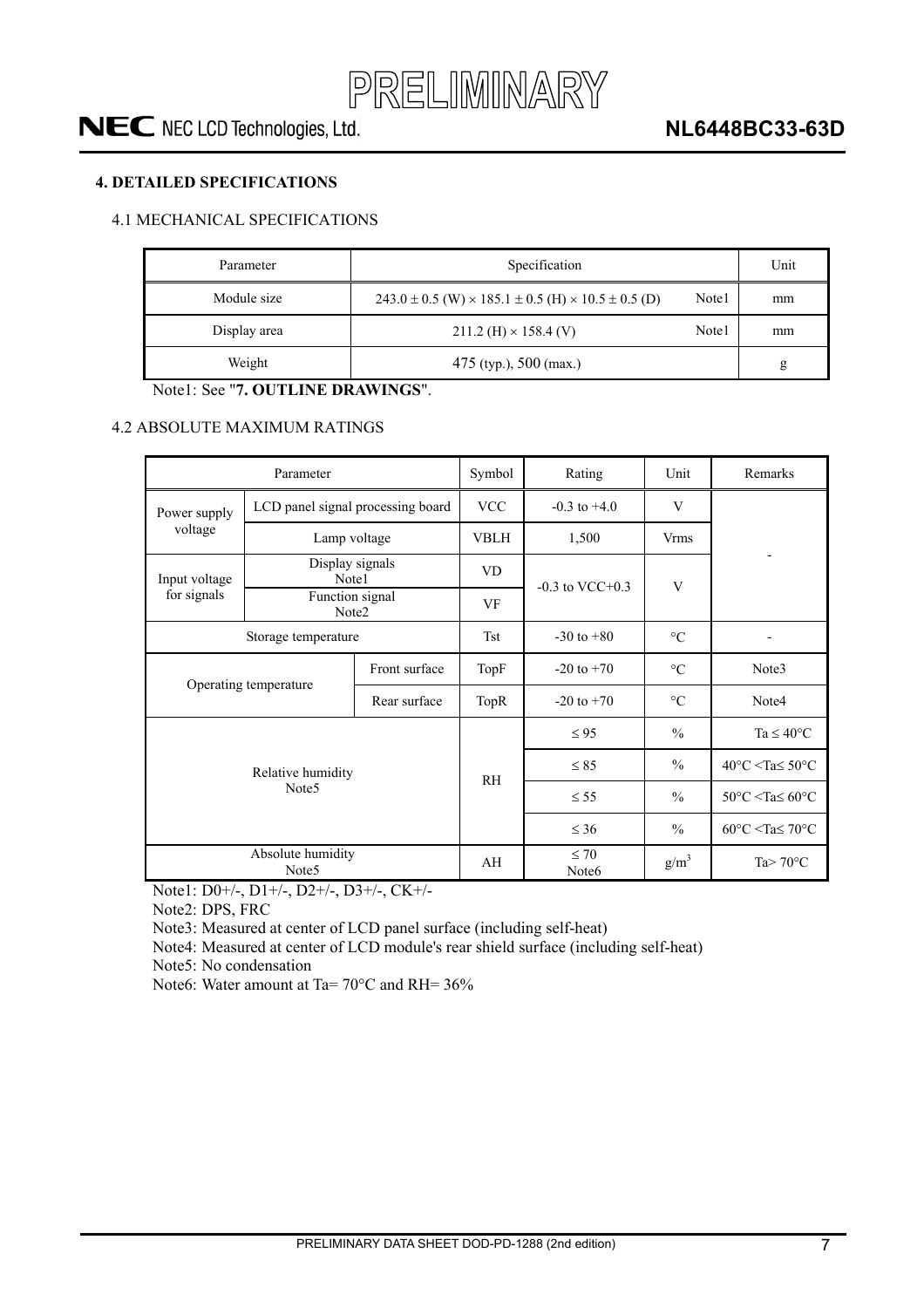

#### **4. DETAILED SPECIFICATIONS**

#### 4.1 MECHANICAL SPECIFICATIONS

| Parameter    | Specification                                                                | Unit  |    |
|--------------|------------------------------------------------------------------------------|-------|----|
| Module size  | $243.0 \pm 0.5$ (W) $\times$ 185.1 $\pm$ 0.5 (H) $\times$ 10.5 $\pm$ 0.5 (D) | Note1 | mm |
| Display area | $211.2$ (H) $\times$ 158.4 (V)                                               | Note1 | mm |
| Weight       | $475$ (typ.), $500$ (max.)                                                   |       | g  |

Note1: See "**7. OUTLINE DRAWINGS**".

#### 4.2 ABSOLUTE MAXIMUM RATINGS

|                                        | Parameter                              | Symbol | Rating                         | Unit                 | Remarks             |                                                                |
|----------------------------------------|----------------------------------------|--------|--------------------------------|----------------------|---------------------|----------------------------------------------------------------|
| Power supply                           | LCD panel signal processing board      |        | <b>VCC</b>                     | $-0.3$ to $+4.0$     | V                   |                                                                |
| voltage                                | Lamp voltage                           |        | <b>VBLH</b>                    | 1,500                | <b>Vrms</b>         |                                                                |
| Input voltage                          | Display signals<br>Note1               |        | <b>VD</b>                      |                      |                     |                                                                |
| for signals                            | Function signal<br>Note <sub>2</sub>   |        | VF                             | $-0.3$ to VCC $+0.3$ | V                   |                                                                |
| Storage temperature                    |                                        |        | <b>Tst</b>                     | $-30$ to $+80$       | $\rm ^{\circ}C$     |                                                                |
| Front surface                          |                                        | TopF   | $-20$ to $+70$                 | $\circ$ C            | Note3               |                                                                |
|                                        | Operating temperature                  |        | TopR                           | $-20$ to $+70$       | $\rm ^{\circ}C$     | Note4                                                          |
|                                        |                                        |        |                                | $\leq 95$            | $\frac{0}{0}$       | Ta $\leq 40^{\circ}$ C                                         |
| Relative humidity<br>Note <sub>5</sub> |                                        |        | <b>RH</b>                      | $\leq 85$            | $\frac{0}{0}$       | $40^{\circ}$ C <ta<math>\leq 50^{\circ}C</ta<math>             |
|                                        |                                        |        |                                | $\leq$ 55            | $\frac{0}{0}$       | 50 $\degree$ C <ta<math>\leq 60<math>\degree</math>C</ta<math> |
|                                        |                                        |        |                                | $\leq 36$            | $\frac{0}{0}$       | $60^{\circ}$ C <ta<math>\leq 70^{\circ}C</ta<math>             |
|                                        | Absolute humidity<br>Note <sub>5</sub> | AH     | $\leq 70$<br>Note <sub>6</sub> | $g/m^3$              | Ta $> 70^{\circ}$ C |                                                                |

Note1: D0+/-, D1+/-, D2+/-, D3+/-, CK+/-

Note2: DPS, FRC

Note3: Measured at center of LCD panel surface (including self-heat)

Note4: Measured at center of LCD module's rear shield surface (including self-heat)

Note5: No condensation

Note6: Water amount at Ta= 70°C and RH= 36%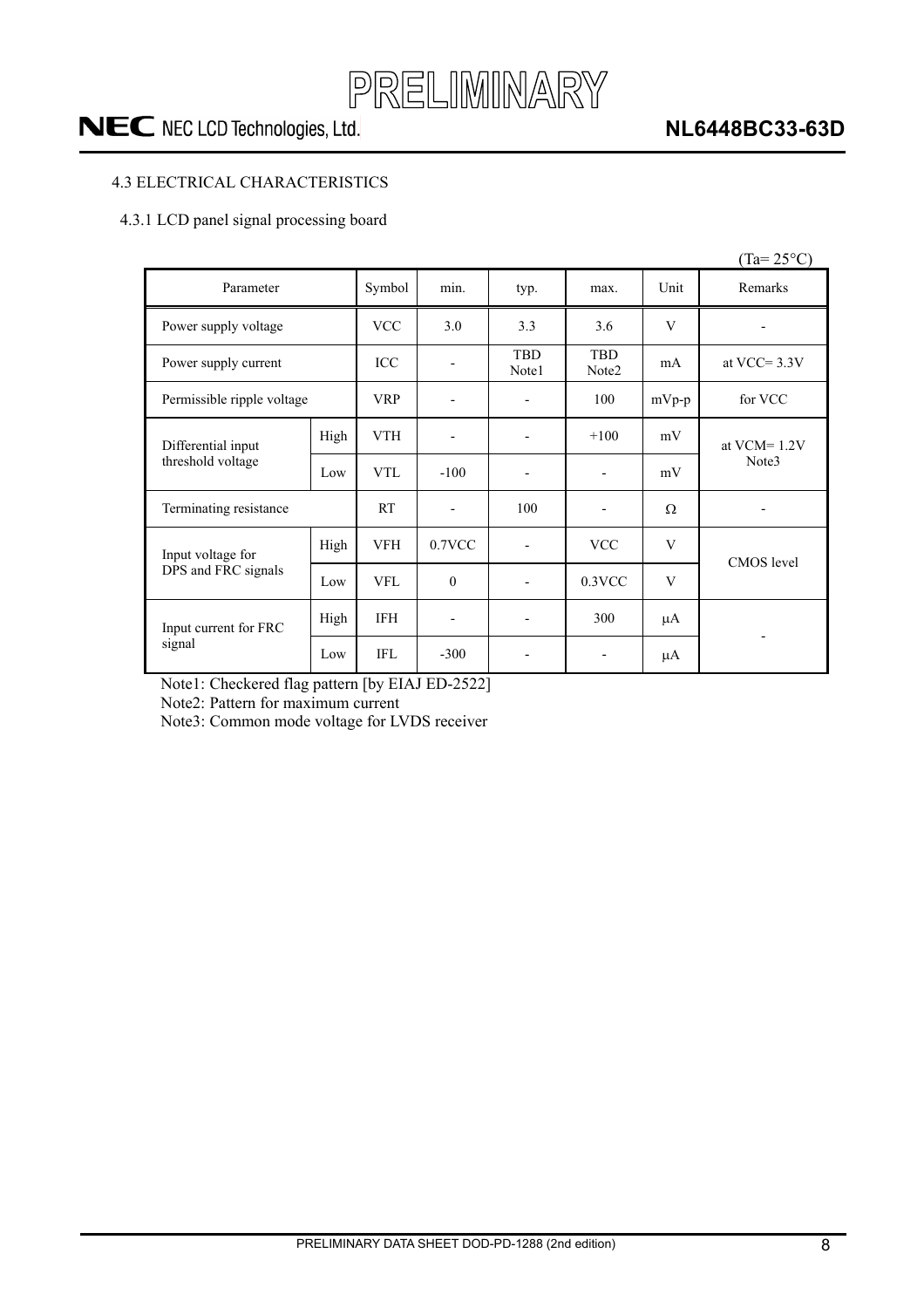

### **NL6448BC33-63D**

#### 4.3 ELECTRICAL CHARACTERISTICS

#### 4.3.1 LCD panel signal processing board

|                            |      |            |                          |                     |                                 |          | $(Ta=25^{\circ}C)$       |
|----------------------------|------|------------|--------------------------|---------------------|---------------------------------|----------|--------------------------|
| Parameter                  |      | Symbol     | min.                     | typ.                | max.                            | Unit     | Remarks                  |
| Power supply voltage       |      | <b>VCC</b> | 3.0                      | 3.3                 | 3.6                             | V        |                          |
| Power supply current       |      | ICC        |                          | <b>TBD</b><br>Note1 | <b>TBD</b><br>Note <sub>2</sub> | mA       | at VCC= $3.3V$           |
| Permissible ripple voltage |      | <b>VRP</b> |                          |                     | 100                             | $mVp-p$  | for VCC                  |
| Differential input         | High | <b>VTH</b> |                          |                     | $+100$                          | mV       | at $VCM = 1.2V$<br>Note3 |
| threshold voltage          | Low  | <b>VTL</b> | $-100$                   |                     |                                 | mV       |                          |
| Terminating resistance     |      | <b>RT</b>  | $\overline{\phantom{a}}$ | 100                 | $\blacksquare$                  | $\Omega$ |                          |
| Input voltage for          | High | <b>VFH</b> | 0.7VCC                   |                     | <b>VCC</b>                      | V        | <b>CMOS</b> level        |
| DPS and FRC signals        | Low  | <b>VFL</b> | $\theta$                 |                     | 0.3VCC                          | V        |                          |
| Input current for FRC      | High | <b>IFH</b> |                          |                     | 300                             | $\mu A$  |                          |
| signal                     | Low  | IFL        | $-300$                   |                     |                                 | μA       |                          |

Note1: Checkered flag pattern [by EIAJ ED-2522]

Note2: Pattern for maximum current

Note3: Common mode voltage for LVDS receiver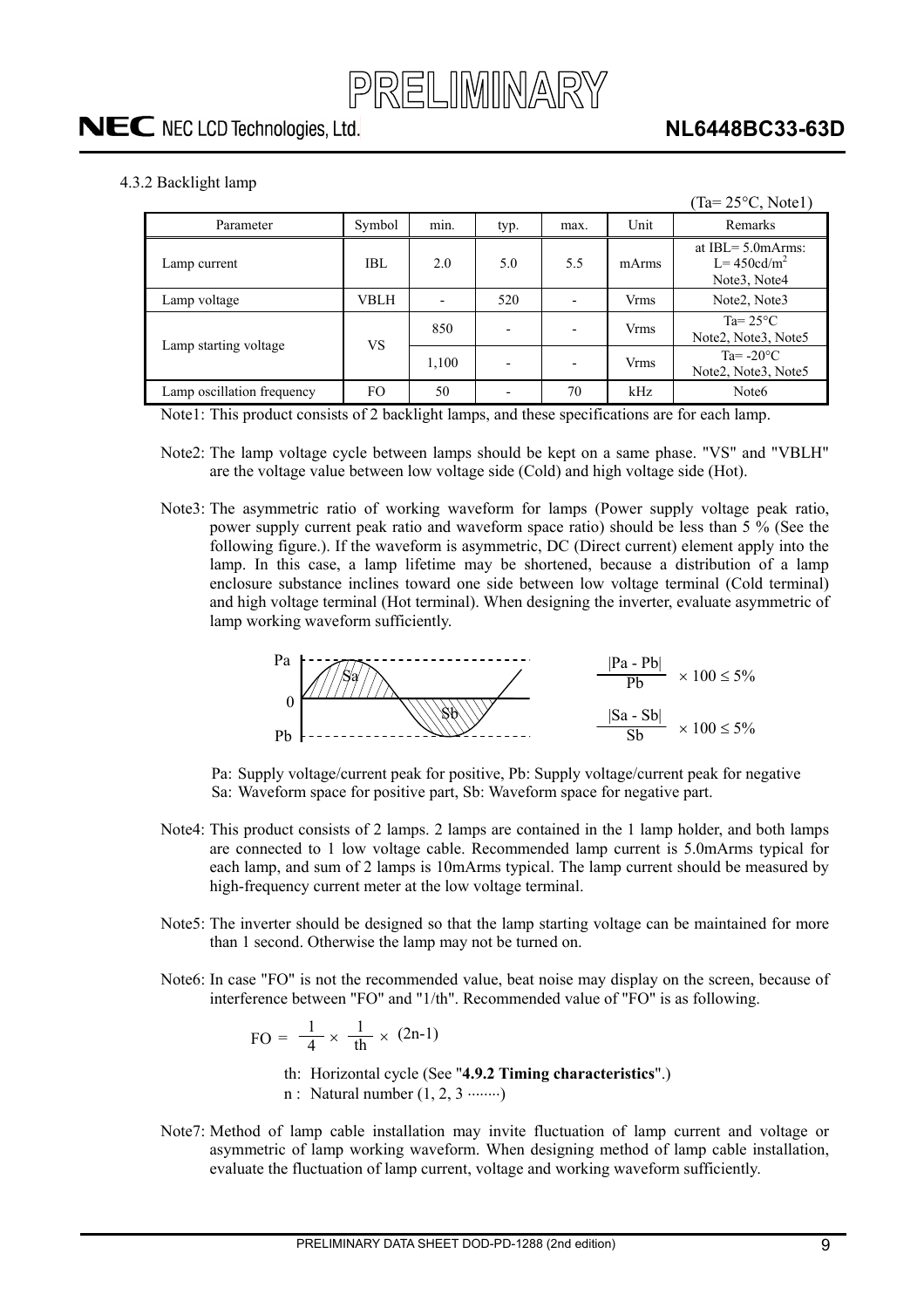

4.3.2 Backlight lamp

|                            |             |       |      |                          |             | $(Ta=25\textdegree C, Note1)$                                                     |
|----------------------------|-------------|-------|------|--------------------------|-------------|-----------------------------------------------------------------------------------|
| Parameter                  | Symbol      | min.  | typ. | max.                     | Unit        | Remarks                                                                           |
| Lamp current               | IBL         | 2.0   | 5.0  | 5.5                      | mArms       | at IBL $=$ 5.0 mArms:<br>$L = 450cd/m^2$<br>Note <sub>3</sub> , Note <sub>4</sub> |
| Lamp voltage               | <b>VBLH</b> |       | 520  |                          | <b>Vrms</b> | Note2, Note3                                                                      |
| Lamp starting voltage      | VS          | 850   | ۰    |                          | <b>Vrms</b> | Ta= $25^{\circ}$ C<br>Note2, Note3, Note5                                         |
|                            |             | 1,100 | ۰    | $\overline{\phantom{0}}$ | <b>Vrms</b> | Ta= $-20^{\circ}$ C<br>Note2, Note3, Note5                                        |
| Lamp oscillation frequency | FO.         | 50    |      | 70                       | kHz         | Note <sub>6</sub>                                                                 |

Note1: This product consists of 2 backlight lamps, and these specifications are for each lamp.

- Note2: The lamp voltage cycle between lamps should be kept on a same phase. "VS" and "VBLH" are the voltage value between low voltage side (Cold) and high voltage side (Hot).
- Note3: The asymmetric ratio of working waveform for lamps (Power supply voltage peak ratio, power supply current peak ratio and waveform space ratio) should be less than 5 % (See the following figure.). If the waveform is asymmetric, DC (Direct current) element apply into the lamp. In this case, a lamp lifetime may be shortened, because a distribution of a lamp enclosure substance inclines toward one side between low voltage terminal (Cold terminal) and high voltage terminal (Hot terminal). When designing the inverter, evaluate asymmetric of lamp working waveform sufficiently.



Pa: Supply voltage/current peak for positive, Pb: Supply voltage/current peak for negative Sa: Waveform space for positive part, Sb: Waveform space for negative part.

- Note4: This product consists of 2 lamps. 2 lamps are contained in the 1 lamp holder, and both lamps are connected to 1 low voltage cable. Recommended lamp current is 5.0mArms typical for each lamp, and sum of 2 lamps is 10mArms typical. The lamp current should be measured by high-frequency current meter at the low voltage terminal.
- Note5: The inverter should be designed so that the lamp starting voltage can be maintained for more than 1 second. Otherwise the lamp may not be turned on.
- Note6: In case "FO" is not the recommended value, beat noise may display on the screen, because of interference between "FO" and "1/th". Recommended value of "FO" is as following.

 $FO = \frac{1}{4}$ 4  $\times \frac{1}{\text{th}} \times (2n-1)$ 

- th: Horizontal cycle (See "**4.9.2 Timing characteristics**".)  $n$ : Natural number  $(1, 2, 3 \dots)$
- Note7: Method of lamp cable installation may invite fluctuation of lamp current and voltage or asymmetric of lamp working waveform. When designing method of lamp cable installation, evaluate the fluctuation of lamp current, voltage and working waveform sufficiently.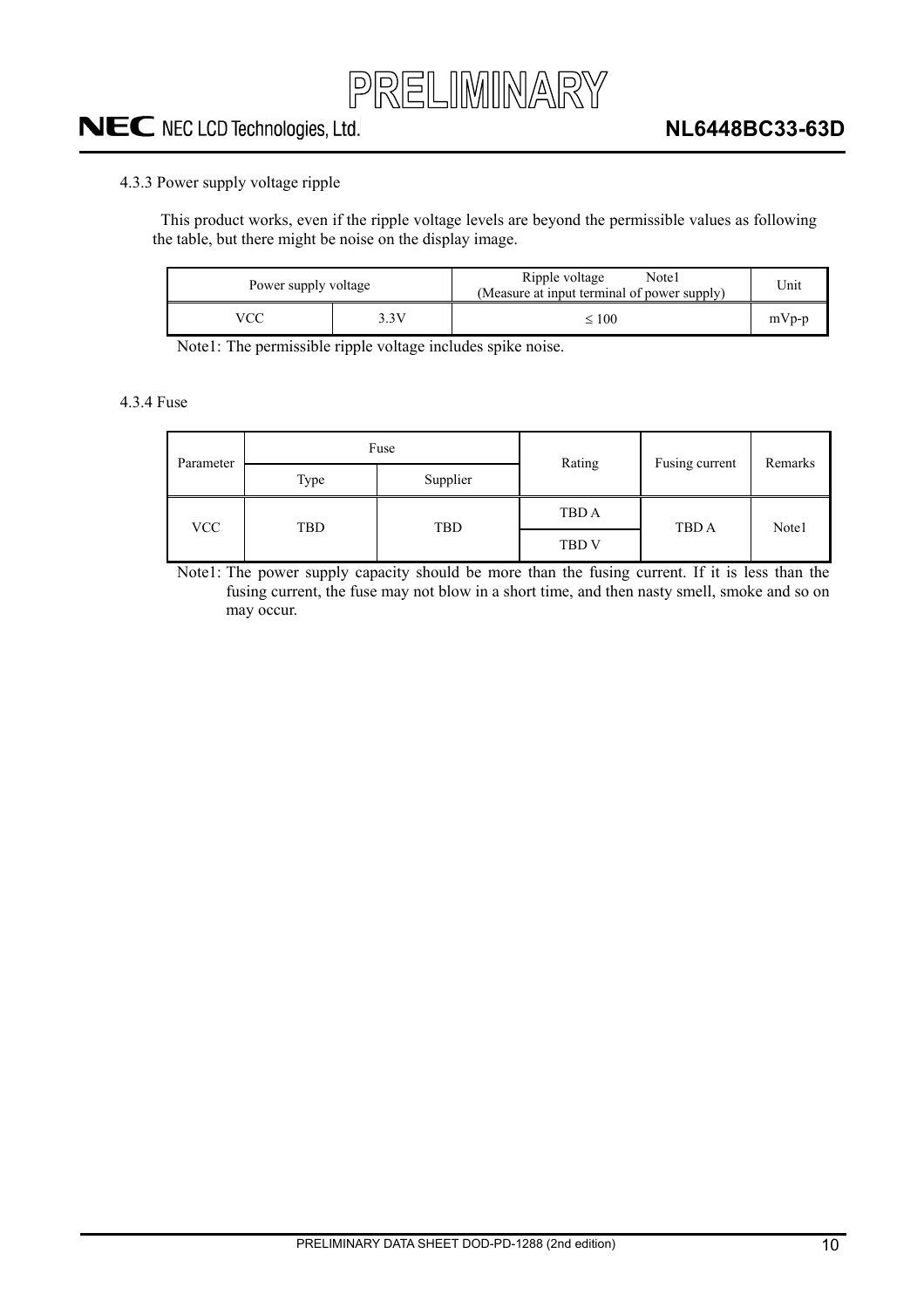

#### 4.3.3 Power supply voltage ripple

This product works, even if the ripple voltage levels are beyond the permissible values as following the table, but there might be noise on the display image.

| Power supply voltage |      | Ripple voltage<br>Note l<br>(Measure at input terminal of power supply) | Unit    |
|----------------------|------|-------------------------------------------------------------------------|---------|
|                      | -3 V | $\leq 100$                                                              | $mVp-p$ |

Note1: The permissible ripple voltage includes spike noise.

4.3.4 Fuse

| Parameter  |            | Fuse     | Rating       | Fusing current | Remarks |
|------------|------------|----------|--------------|----------------|---------|
|            | Type       | Supplier |              |                |         |
|            |            |          | TBD A        |                |         |
| <b>VCC</b> | TBD<br>TBD |          | <b>TBD V</b> | TBD A          | Note1   |

Note1: The power supply capacity should be more than the fusing current. If it is less than the fusing current, the fuse may not blow in a short time, and then nasty smell, smoke and so on may occur.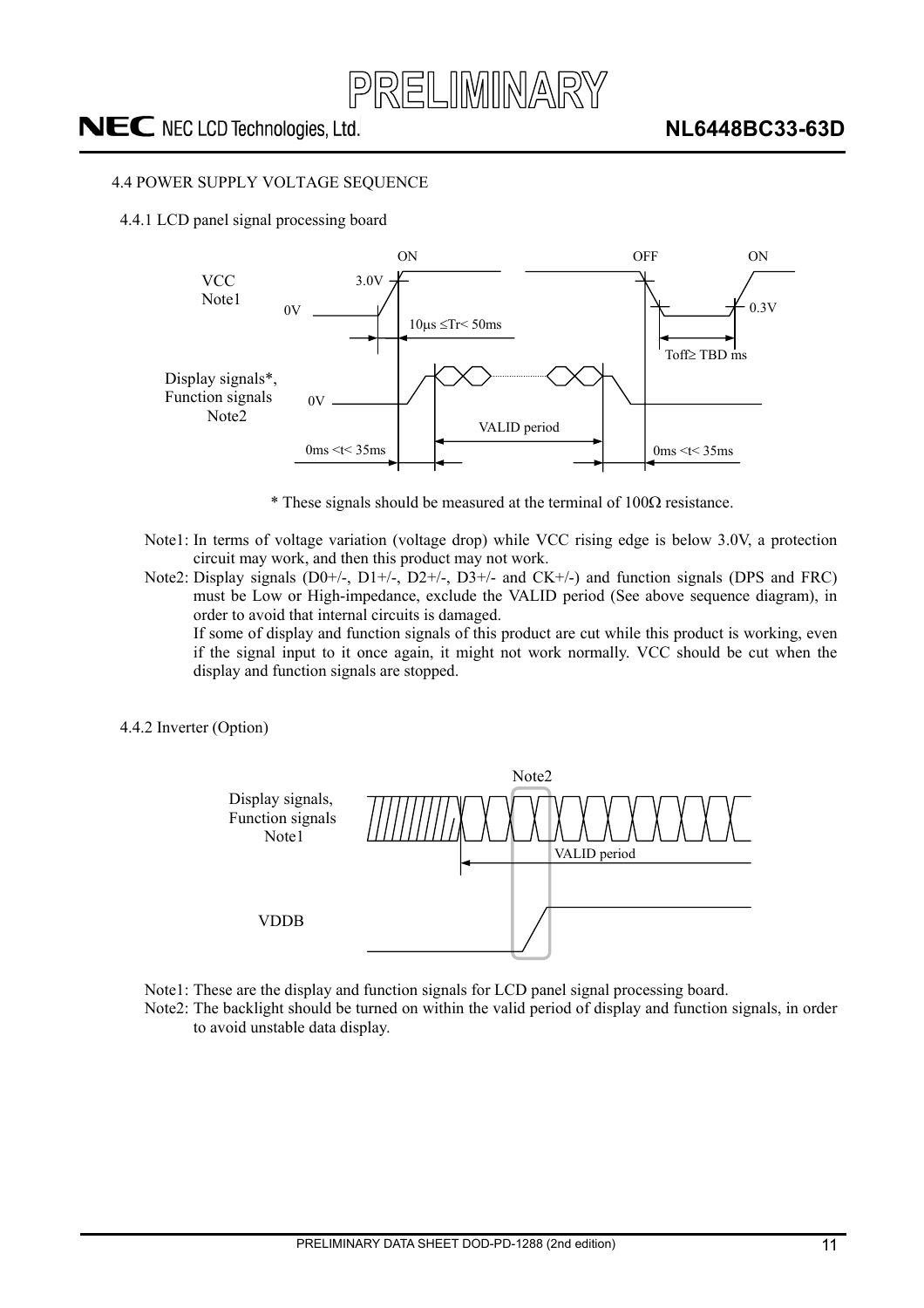

#### 4.4 POWER SUPPLY VOLTAGE SEQUENCE

4.4.1 LCD panel signal processing board



 $*$  These signals should be measured at the terminal of 100 $\Omega$  resistance.

- Note1: In terms of voltage variation (voltage drop) while VCC rising edge is below 3.0V, a protection circuit may work, and then this product may not work.
- Note2: Display signals (D0+/-, D1+/-, D2+/-, D3+/- and CK+/-) and function signals (DPS and FRC) must be Low or High-impedance, exclude the VALID period (See above sequence diagram), in order to avoid that internal circuits is damaged.

 If some of display and function signals of this product are cut while this product is working, even if the signal input to it once again, it might not work normally. VCC should be cut when the display and function signals are stopped.

4.4.2 Inverter (Option)



- Note1: These are the display and function signals for LCD panel signal processing board.
- Note2: The backlight should be turned on within the valid period of display and function signals, in order to avoid unstable data display.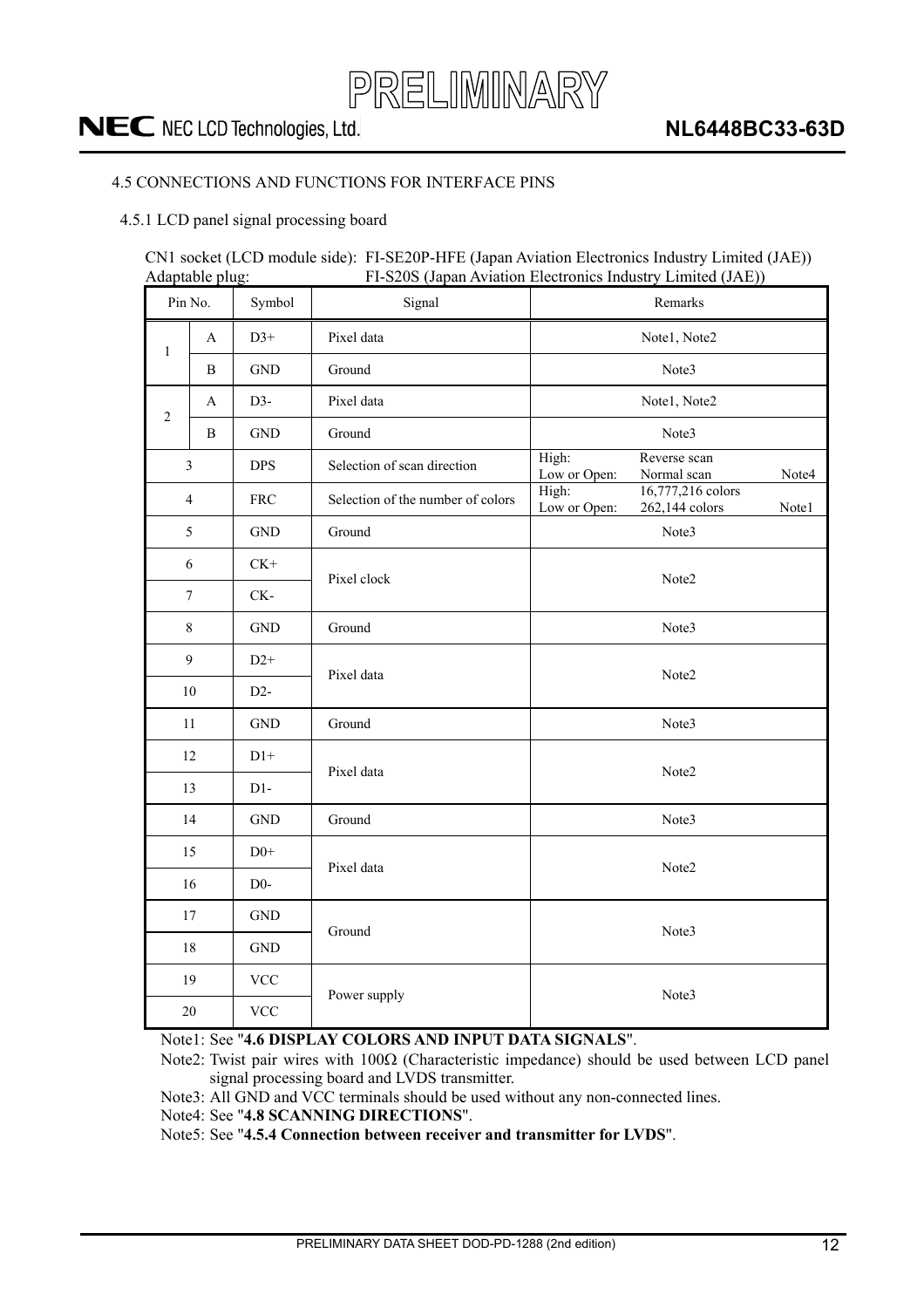

#### 4.5 CONNECTIONS AND FUNCTIONS FOR INTERFACE PINS

#### 4.5.1 LCD panel signal processing board

CN1 socket (LCD module side): FI-SE20P-HFE (Japan Aviation Electronics Industry Limited (JAE)) Adaptable plug: FI-S20S (Japan Aviation Electronics Industry Limited (JAE))

|                                | Pin No.        | Symbol               | Signal                            | Remarks                                                               |  |  |  |
|--------------------------------|----------------|----------------------|-----------------------------------|-----------------------------------------------------------------------|--|--|--|
| $\mathbf{1}$                   | A              | $D3+$                | Pixel data                        | Note1, Note2                                                          |  |  |  |
|                                | B              | $\operatorname{GND}$ | Ground                            | Note3                                                                 |  |  |  |
|                                | A              | $D3-$                | Pixel data                        | Note1, Note2                                                          |  |  |  |
| $\overline{2}$                 | B              | $\operatorname{GND}$ | Ground                            | Note3                                                                 |  |  |  |
|                                | $\mathfrak{Z}$ | <b>DPS</b>           | Selection of scan direction       | High:<br>Reverse scan<br>Low or Open:<br>Normal scan<br>Note4         |  |  |  |
|                                | $\overline{4}$ | ${\rm FRC}$          | Selection of the number of colors | High:<br>16,777,216 colors<br>Low or Open:<br>262,144 colors<br>Note1 |  |  |  |
|                                | 5              | $\operatorname{GND}$ | Ground                            | Note3                                                                 |  |  |  |
|                                | 6              | $CK+$                | Pixel clock                       |                                                                       |  |  |  |
| $CK-$<br>7                     |                |                      |                                   | Note2                                                                 |  |  |  |
|                                | $8\,$          | <b>GND</b>           | Ground                            | Note3                                                                 |  |  |  |
| 9<br>$D2+$                     |                |                      |                                   | Note2                                                                 |  |  |  |
|                                | 10             | $D2-$                | Pixel data                        |                                                                       |  |  |  |
|                                | 11             | <b>GND</b>           | Ground                            | Note3                                                                 |  |  |  |
|                                | 12             | $D1+$                | Pixel data                        |                                                                       |  |  |  |
|                                | 13             | $D1-$                |                                   | Note2                                                                 |  |  |  |
|                                | 14             | <b>GND</b>           | Ground                            | Note3                                                                 |  |  |  |
|                                | 15             | $D0+$                | Pixel data                        |                                                                       |  |  |  |
| 16<br>$D0-$                    |                |                      |                                   | Note2                                                                 |  |  |  |
| 17                             |                | <b>GND</b>           | Ground                            | Note3                                                                 |  |  |  |
| $18\,$<br>$\operatorname{GND}$ |                |                      |                                   |                                                                       |  |  |  |
|                                | 19             | <b>VCC</b>           | Power supply                      |                                                                       |  |  |  |
| $20\,$                         |                | <b>VCC</b>           |                                   | Note3                                                                 |  |  |  |

Note1: See "**4.6 DISPLAY COLORS AND INPUT DATA SIGNALS**".

Note2: Twist pair wires with  $100\Omega$  (Characteristic impedance) should be used between LCD panel signal processing board and LVDS transmitter.

Note3: All GND and VCC terminals should be used without any non-connected lines.

Note4: See "**4.8 SCANNING DIRECTIONS**".

Note5: See "**4.5.4 Connection between receiver and transmitter for LVDS**".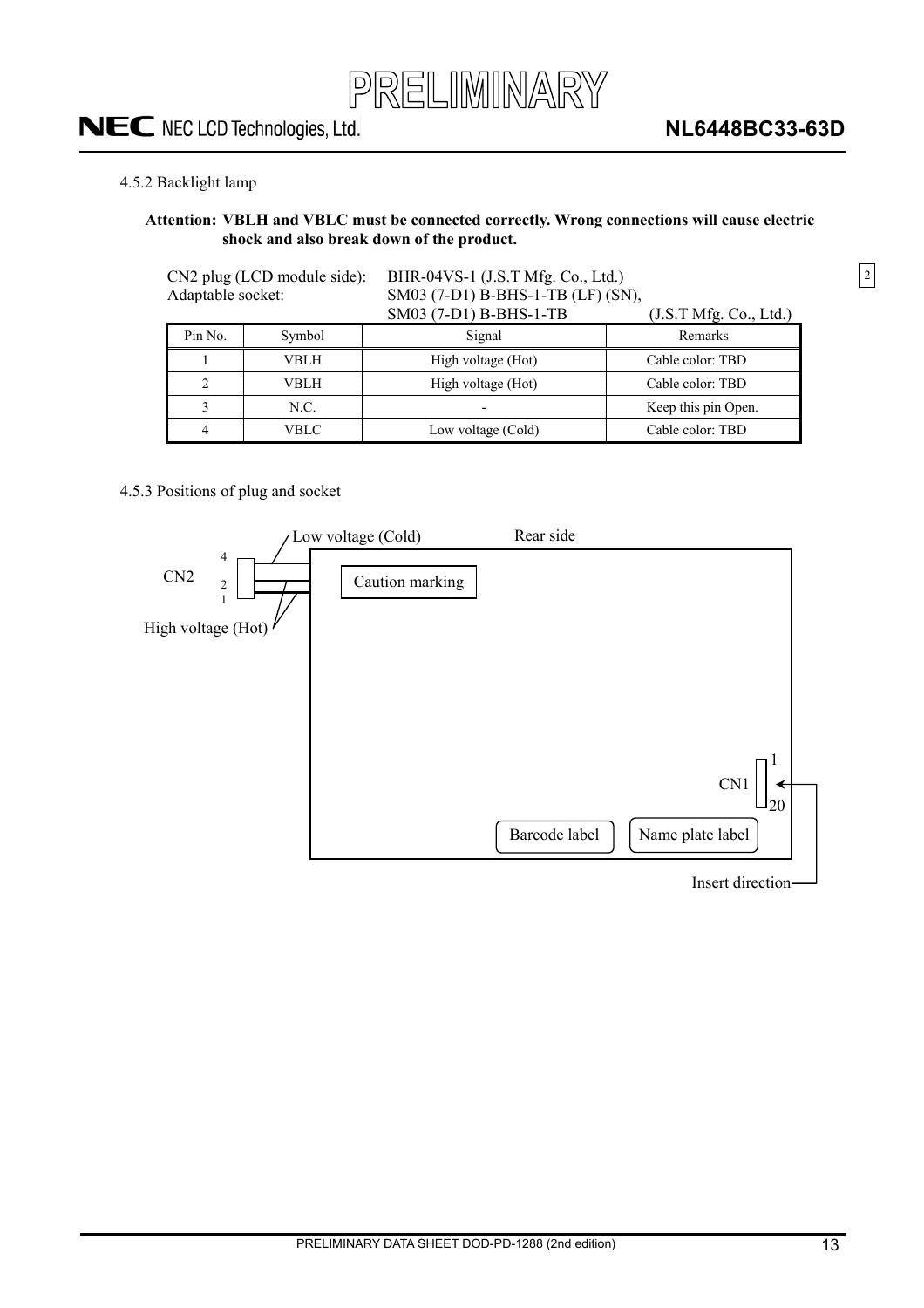

2

#### 4.5.2 Backlight lamp

#### **Attention: VBLH and VBLC must be connected correctly. Wrong connections will cause electric shock and also break down of the product.**

| Adaptable socket: | CN2 plug (LCD module side): | BHR-04VS-1 (J.S.T Mfg. Co., Ltd.)<br>SM03 (7-D1) B-BHS-1-TB (LF) (SN), |                        |  |  |
|-------------------|-----------------------------|------------------------------------------------------------------------|------------------------|--|--|
|                   |                             | SM03 (7-D1) B-BHS-1-TB                                                 | (J.S.T Mfg. Co., Ltd.) |  |  |
| Pin No.           | Symbol                      | Signal                                                                 | Remarks                |  |  |
|                   | VBLH                        | High voltage (Hot)                                                     | Cable color: TBD       |  |  |
| 2                 | VBLH                        | High voltage (Hot)                                                     | Cable color: TBD       |  |  |
| 3                 | N.C.                        |                                                                        | Keep this pin Open.    |  |  |
| VBLC<br>4         |                             | Low voltage (Cold)                                                     | Cable color: TBD       |  |  |

#### 4.5.3 Positions of plug and socket



Insert direction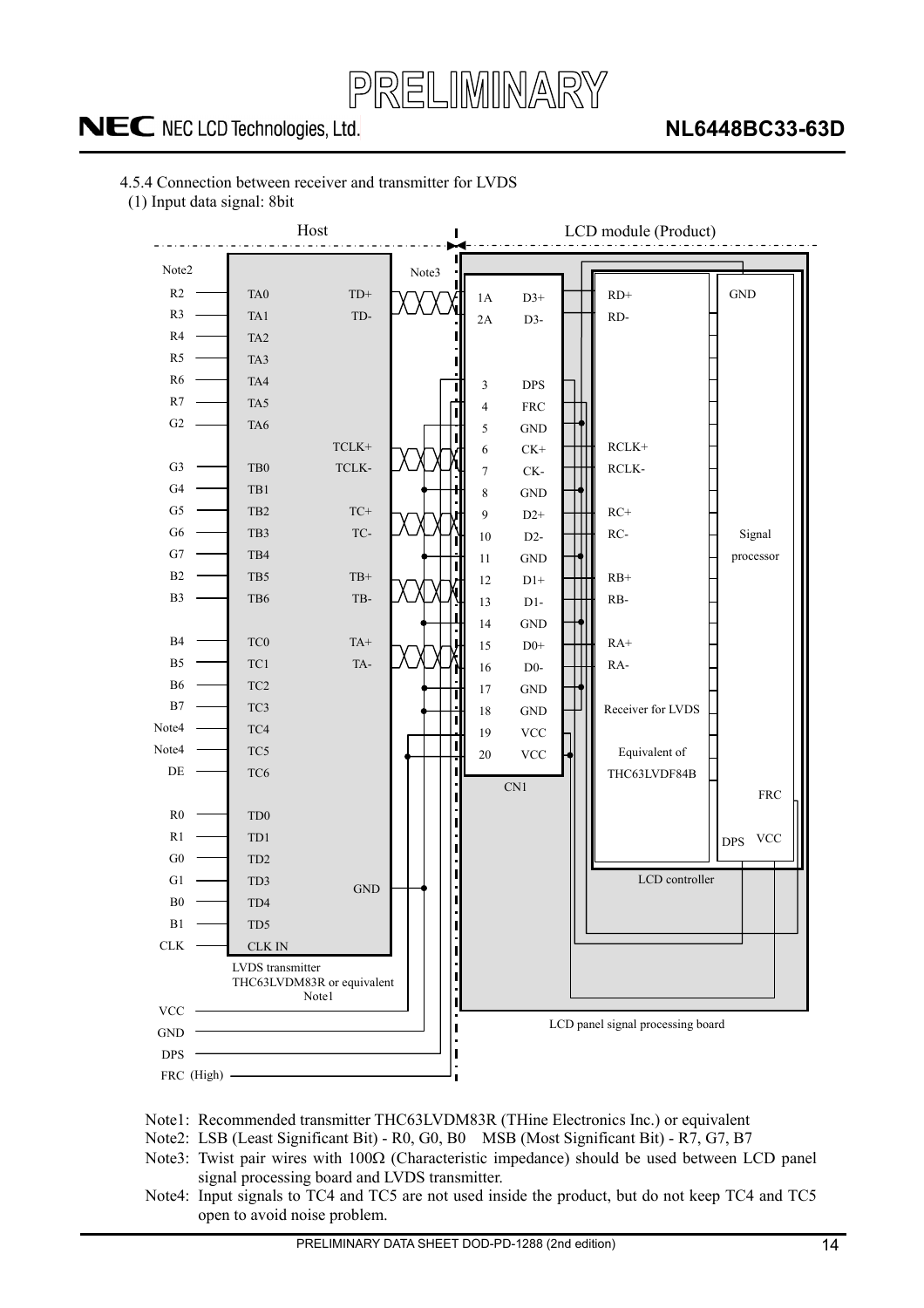

### **NL6448BC33-63D**

- 4.5.4 Connection between receiver and transmitter for LVDS
- (1) Input data signal: 8bit



- Note1: Recommended transmitter THC63LVDM83R (THine Electronics Inc.) or equivalent
- Note2: LSB (Least Significant Bit) R0, G0, B0 MSB (Most Significant Bit) R7, G7, B7
- Note3: Twist pair wires with  $100\Omega$  (Characteristic impedance) should be used between LCD panel signal processing board and LVDS transmitter.
- Note4: Input signals to TC4 and TC5 are not used inside the product, but do not keep TC4 and TC5 open to avoid noise problem.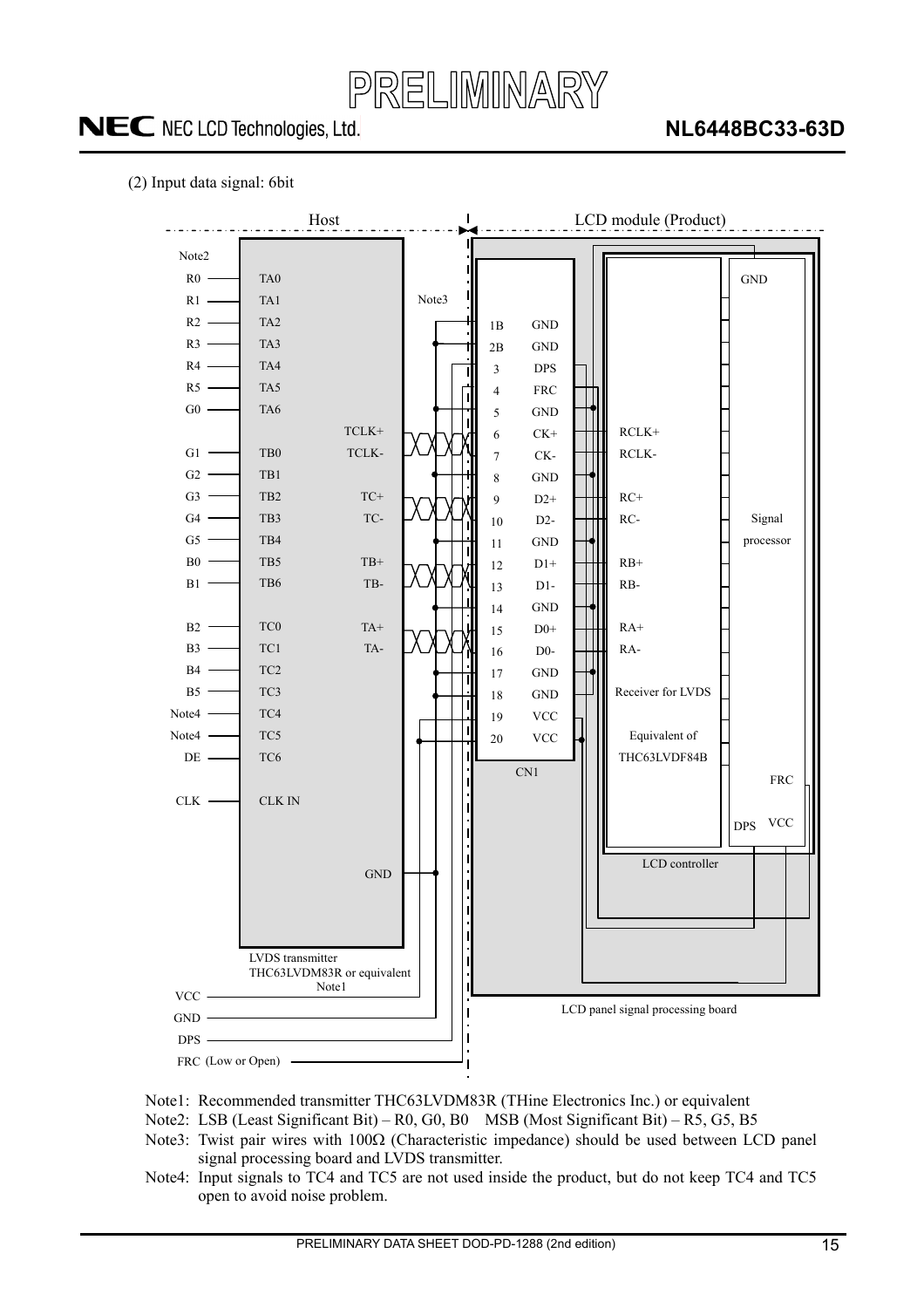

### **NL6448BC33-63D**

#### (2) Input data signal: 6bit



- Note1: Recommended transmitter THC63LVDM83R (THine Electronics Inc.) or equivalent
- Note2: LSB (Least Significant Bit) R0, G0, B0 MSB (Most Significant Bit) R5, G5, B5
- Note3: Twist pair wires with  $100\Omega$  (Characteristic impedance) should be used between LCD panel signal processing board and LVDS transmitter.
- Note4: Input signals to TC4 and TC5 are not used inside the product, but do not keep TC4 and TC5 open to avoid noise problem.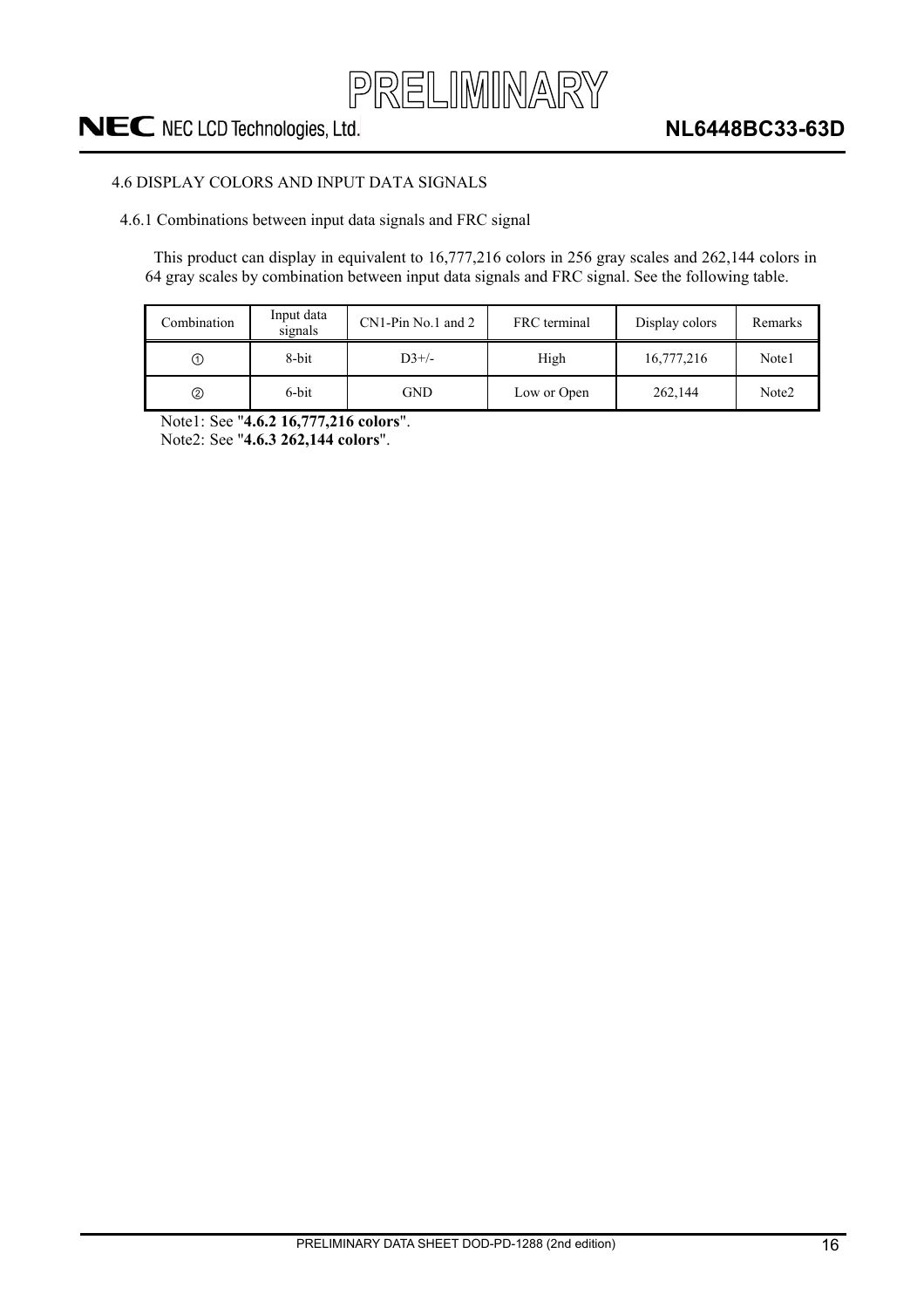

#### 4.6 DISPLAY COLORS AND INPUT DATA SIGNALS

4.6.1 Combinations between input data signals and FRC signal

This product can display in equivalent to 16,777,216 colors in 256 gray scales and 262,144 colors in 64 gray scales by combination between input data signals and FRC signal. See the following table.

| Combination | Input data<br>signals | $CN1-Pin$ No.1 and 2 | FRC terminal | Display colors | Remarks           |
|-------------|-----------------------|----------------------|--------------|----------------|-------------------|
| ➀           | 8-bit                 | $D3+/$               | High         | 16,777,216     | Note1             |
| ②           | 6-bit                 | <b>GND</b>           | Low or Open  | 262,144        | Note <sub>2</sub> |

Note1: See "**4.6.2 16,777,216 colors**".

Note2: See "**4.6.3 262,144 colors**".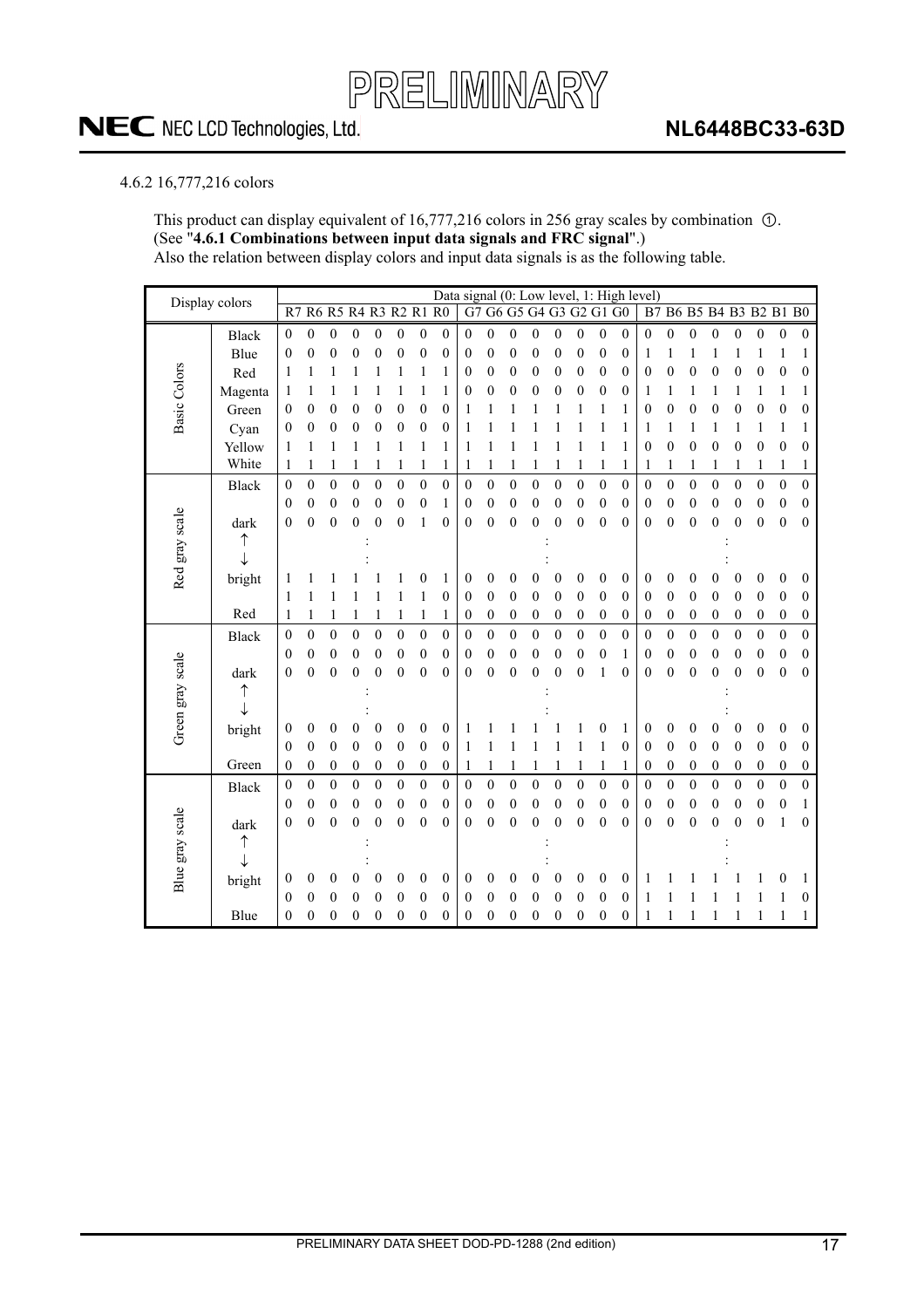#### 4.6.2 16,777,216 colors

This product can display equivalent of  $16,777,216$  colors in 256 gray scales by combination  $\odot$ . (See "**4.6.1 Combinations between input data signals and FRC signal**".) Also the relation between display colors and input data signals is as the following table.

| Display colors      |              |                  |                  |                  |                      |                  |                  |                  | Data signal (0: Low level, 1: High level) |                |                  |                  |                  |                  |                         |                  |                  |                  |                  |                  |                  |                  |                         |                  |                  |
|---------------------|--------------|------------------|------------------|------------------|----------------------|------------------|------------------|------------------|-------------------------------------------|----------------|------------------|------------------|------------------|------------------|-------------------------|------------------|------------------|------------------|------------------|------------------|------------------|------------------|-------------------------|------------------|------------------|
|                     |              | R7               |                  |                  | R6 R5 R4 R3 R2 R1 R0 |                  |                  |                  |                                           |                |                  |                  |                  |                  | G7 G6 G5 G4 G3 G2 G1 G0 |                  |                  |                  |                  |                  |                  |                  | B7 B6 B5 B4 B3 B2 B1 B0 |                  |                  |
|                     | <b>Black</b> | $\mathbf{0}$     | $\boldsymbol{0}$ | $\boldsymbol{0}$ | $\boldsymbol{0}$     | $\overline{0}$   | $\boldsymbol{0}$ | $\mathbf{0}$     | $\mathbf{0}$                              | $\overline{0}$ | $\mathbf{0}$     | $\mathbf{0}$     | $\boldsymbol{0}$ | $\mathbf{0}$     | $\boldsymbol{0}$        | $\boldsymbol{0}$ | $\mathbf{0}$     | $\mathbf{0}$     | $\boldsymbol{0}$ | $\boldsymbol{0}$ | $\boldsymbol{0}$ | 0                | $\boldsymbol{0}$        | $\mathbf{0}$     | $\mathbf{0}$     |
|                     | Blue         | $\boldsymbol{0}$ | $\boldsymbol{0}$ | $\boldsymbol{0}$ | $\boldsymbol{0}$     | 0                | $\boldsymbol{0}$ | $\boldsymbol{0}$ | 0                                         | 0              | $\boldsymbol{0}$ | $\mathbf{0}$     | $\boldsymbol{0}$ | 0                | $\boldsymbol{0}$        | $\boldsymbol{0}$ | $\boldsymbol{0}$ | 1                | 1                | 1                | 1                |                  | 1                       | 1                | 1                |
| <b>Basic Colors</b> | Red          | 1                | 1                |                  |                      |                  |                  | 1                | 1                                         | 0              | 0                | $\mathbf{0}$     | 0                | 0                | $\boldsymbol{0}$        | $\boldsymbol{0}$ | $\boldsymbol{0}$ | 0                | $\boldsymbol{0}$ | $\boldsymbol{0}$ | $\overline{0}$   | 0                | $\boldsymbol{0}$        | $\mathbf{0}$     | 0                |
|                     | Magenta      | 1                |                  |                  |                      |                  |                  | 1                | 1                                         | 0              | $\boldsymbol{0}$ | 0                | 0                | 0                | 0                       | 0                | 0                | 1                | 1                | 1                | 1                |                  | 1                       | 1                | 1                |
|                     | Green        | 0                | 0                | 0                | 0                    | 0                | 0                | $\boldsymbol{0}$ | 0                                         | 1              |                  |                  |                  |                  |                         | 1                | 1                | $\boldsymbol{0}$ | 0                | 0                | 0                | 0                | $\boldsymbol{0}$        | $\boldsymbol{0}$ | 0                |
|                     | Cyan         | $\mathbf{0}$     | $\overline{0}$   | $\overline{0}$   | 0                    | 0                | 0                | $\mathbf{0}$     | $\boldsymbol{0}$                          | 1              |                  |                  |                  |                  |                         | 1                | 1                | 1                | 1                | 1                | 1                | 1                | 1                       | 1                | 1                |
|                     | Yellow       | 1                | 1                |                  | 1                    |                  | 1                | 1                | 1                                         | 1              | 1                | 1                |                  |                  | 1                       | 1                | 1                | $\boldsymbol{0}$ | 0                | $\boldsymbol{0}$ | 0                | $\boldsymbol{0}$ | $\boldsymbol{0}$        | $\boldsymbol{0}$ | 0                |
|                     | White        | 1                | 1                | 1                | 1                    |                  | 1                | 1                | 1                                         | 1              | 1                | 1                | 1                |                  | 1                       | 1                | 1                | 1                | 1                | 1                | 1                | 1                | 1                       | 1                | 1                |
|                     | Black        | $\boldsymbol{0}$ | $\boldsymbol{0}$ | $\boldsymbol{0}$ | $\boldsymbol{0}$     | $\boldsymbol{0}$ | $\boldsymbol{0}$ | $\boldsymbol{0}$ | $\boldsymbol{0}$                          | $\mathbf{0}$   | $\boldsymbol{0}$ | $\boldsymbol{0}$ | $\boldsymbol{0}$ | $\boldsymbol{0}$ | $\boldsymbol{0}$        | $\boldsymbol{0}$ | $\boldsymbol{0}$ | 0                | $\overline{0}$   | $\boldsymbol{0}$ | $\overline{0}$   | $\boldsymbol{0}$ | $\boldsymbol{0}$        | $\boldsymbol{0}$ | $\boldsymbol{0}$ |
|                     |              | $\mathbf{0}$     | $\boldsymbol{0}$ | $\boldsymbol{0}$ | $\boldsymbol{0}$     | $\boldsymbol{0}$ | $\boldsymbol{0}$ | $\boldsymbol{0}$ | 1                                         | 0              | $\boldsymbol{0}$ | $\mathbf{0}$     | 0                | 0                | $\boldsymbol{0}$        | $\boldsymbol{0}$ | $\boldsymbol{0}$ | 0                | $\boldsymbol{0}$ | $\boldsymbol{0}$ | $\mathbf{0}$     | 0                | $\boldsymbol{0}$        | $\boldsymbol{0}$ | $\boldsymbol{0}$ |
|                     | dark         | $\mathbf{0}$     | $\overline{0}$   | $\overline{0}$   | $\mathbf{0}$         | $\overline{0}$   | $\overline{0}$   | 1                | $\theta$                                  | 0              | 0                | $\mathbf{0}$     | 0                | $\theta$         | $\mathbf{0}$            | $\overline{0}$   | $\theta$         | 0                | 0                | $\mathbf{0}$     | 0                | $\boldsymbol{0}$ | $\boldsymbol{0}$        | $\theta$         | $\boldsymbol{0}$ |
|                     |              |                  |                  |                  |                      |                  |                  |                  |                                           |                |                  |                  |                  |                  |                         |                  |                  |                  |                  |                  |                  |                  |                         |                  |                  |
| Red gray scale      |              |                  |                  |                  |                      |                  |                  |                  |                                           |                |                  |                  |                  |                  |                         |                  |                  |                  |                  |                  |                  |                  |                         |                  |                  |
|                     | bright       |                  |                  |                  |                      |                  |                  | 0                | 1                                         | 0              | 0                | 0                | 0                | 0                | 0                       | 0                | $\boldsymbol{0}$ | 0                | 0                | 0                | 0                | 0                | 0                       | 0                | 0                |
|                     |              | 1                |                  |                  |                      |                  | 1                | 1                | $\overline{0}$                            | 0              | $\mathbf{0}$     | $\mathbf{0}$     | 0                | $\theta$         | $\mathbf{0}$            | $\mathbf{0}$     | $\theta$         | $\boldsymbol{0}$ | $\mathbf{0}$     | $\theta$         | $\mathbf{0}$     | 0                | $\theta$                | $\theta$         | 0                |
|                     | Red          | 1                | 1                | 1                | 1                    |                  | 1                | 1                | 1                                         | 0              | $\boldsymbol{0}$ | $\boldsymbol{0}$ | $\boldsymbol{0}$ | $\boldsymbol{0}$ | $\boldsymbol{0}$        | $\boldsymbol{0}$ | $\boldsymbol{0}$ | 0                | $\boldsymbol{0}$ | $\boldsymbol{0}$ | $\boldsymbol{0}$ | 0                | $\boldsymbol{0}$        | $\boldsymbol{0}$ | $\boldsymbol{0}$ |
|                     | Black        | $\boldsymbol{0}$ | $\boldsymbol{0}$ | $\boldsymbol{0}$ | $\mathbf{0}$         | $\overline{0}$   | $\boldsymbol{0}$ | $\boldsymbol{0}$ | $\overline{0}$                            | $\mathbf{0}$   | $\boldsymbol{0}$ | $\boldsymbol{0}$ | $\overline{0}$   | $\mathbf{0}$     | $\boldsymbol{0}$        | $\boldsymbol{0}$ | $\mathbf{0}$     | $\mathbf{0}$     | $\boldsymbol{0}$ | $\boldsymbol{0}$ | $\overline{0}$   | $\mathbf{0}$     | $\mathbf{0}$            | $\mathbf{0}$     | $\boldsymbol{0}$ |
|                     |              | $\mathbf{0}$     | $\mathbf{0}$     | $\boldsymbol{0}$ | $\mathbf{0}$         | $\mathbf{0}$     | 0                | $\mathbf{0}$     | $\mathbf{0}$                              | 0              | $\boldsymbol{0}$ | $\mathbf{0}$     | $\mathbf{0}$     | $\mathbf{0}$     | $\boldsymbol{0}$        | $\boldsymbol{0}$ | 1                | 0                | 0                | $\boldsymbol{0}$ | $\mathbf{0}$     | 0                | $\boldsymbol{0}$        | $\boldsymbol{0}$ | 0                |
|                     | dark         | $\mathbf{0}$     | $\overline{0}$   | $\overline{0}$   | $\mathbf{0}$         | $\overline{0}$   | $\overline{0}$   | $\mathbf{0}$     | $\overline{0}$                            | 0              | $\overline{0}$   | $\mathbf{0}$     | $\overline{0}$   | $\mathbf{0}$     | $\overline{0}$          | 1                | $\mathbf{0}$     | 0                | $\overline{0}$   | $\mathbf{0}$     | $\overline{0}$   | $\overline{0}$   | $\mathbf{0}$            | $\mathbf{0}$     | $\mathbf{0}$     |
|                     |              |                  |                  |                  |                      |                  |                  |                  |                                           |                |                  |                  |                  |                  |                         |                  |                  |                  |                  |                  |                  |                  |                         |                  |                  |
| Green gray scale    |              |                  |                  |                  |                      |                  |                  |                  |                                           |                |                  |                  |                  |                  |                         |                  |                  |                  |                  |                  |                  |                  |                         |                  |                  |
|                     | bright       | $\theta$         | $\mathbf{0}$     | 0                | 0                    | 0                | $\overline{0}$   | $\mathbf{0}$     | $\theta$                                  | 1              |                  |                  |                  |                  |                         | 0                | 1                | 0                | $\boldsymbol{0}$ | 0                | 0                | 0                | $\boldsymbol{0}$        | 0                | 0                |
|                     |              | $\mathbf{0}$     | $\boldsymbol{0}$ | $\boldsymbol{0}$ | $\boldsymbol{0}$     | $\boldsymbol{0}$ | 0                | $\mathbf{0}$     | $\boldsymbol{0}$                          | 1              | 1                |                  |                  | 1                | 1                       | 1                | $\boldsymbol{0}$ | $\boldsymbol{0}$ | $\boldsymbol{0}$ | $\boldsymbol{0}$ | $\boldsymbol{0}$ | 0                | $\boldsymbol{0}$        | $\boldsymbol{0}$ | $\boldsymbol{0}$ |
|                     | Green        | $\boldsymbol{0}$ | $\boldsymbol{0}$ | $\boldsymbol{0}$ | $\boldsymbol{0}$     | $\boldsymbol{0}$ | $\boldsymbol{0}$ | $\boldsymbol{0}$ | $\boldsymbol{0}$                          | 1              | 1                | 1                | 1                | 1                | 1                       | 1                | 1                | $\boldsymbol{0}$ | 0                | $\boldsymbol{0}$ | $\boldsymbol{0}$ | 0                | $\boldsymbol{0}$        | 0                | $\boldsymbol{0}$ |
|                     | Black        | $\theta$         | $\boldsymbol{0}$ | 0                | $\mathbf{0}$         | $\boldsymbol{0}$ | $\mathbf{0}$     | $\boldsymbol{0}$ | $\mathbf{0}$                              | 0              | $\boldsymbol{0}$ | $\boldsymbol{0}$ | $\mathbf{0}$     | $\mathbf{0}$     | $\boldsymbol{0}$        | $\boldsymbol{0}$ | $\boldsymbol{0}$ | 0                | $\mathbf{0}$     | $\boldsymbol{0}$ | $\overline{0}$   | $\boldsymbol{0}$ | $\boldsymbol{0}$        | $\boldsymbol{0}$ | $\overline{0}$   |
|                     |              | $\theta$         | $\mathbf{0}$     | $\mathbf{0}$     | $\mathbf{0}$         | $\mathbf{0}$     | $\boldsymbol{0}$ | $\mathbf{0}$     | $\mathbf{0}$                              | 0              | $\mathbf{0}$     | $\boldsymbol{0}$ | 0                | $\boldsymbol{0}$ | $\mathbf{0}$            | $\boldsymbol{0}$ | $\theta$         | $\boldsymbol{0}$ | $\boldsymbol{0}$ | $\boldsymbol{0}$ | $\mathbf{0}$     | 0                | $\boldsymbol{0}$        | $\boldsymbol{0}$ | 1                |
| Blue gray scale     | dark         | $\mathbf{0}$     | $\overline{0}$   | $\overline{0}$   | $\boldsymbol{0}$     | $\overline{0}$   | $\mathbf{0}$     | $\mathbf{0}$     | $\theta$                                  | 0              | $\mathbf{0}$     | $\mathbf{0}$     | 0                | $\mathbf{0}$     | $\mathbf{0}$            | $\mathbf{0}$     | $\theta$         | $\mathbf{0}$     | $\mathbf{0}$     | $\mathbf{0}$     | 0                | $\boldsymbol{0}$ | $\mathbf{0}$            | 1                | $\theta$         |
|                     | ↑            |                  |                  |                  |                      |                  |                  |                  |                                           |                |                  |                  |                  |                  |                         |                  |                  |                  |                  |                  |                  |                  |                         |                  |                  |
|                     |              |                  |                  |                  |                      |                  |                  |                  |                                           |                |                  |                  |                  |                  |                         |                  |                  |                  |                  |                  |                  |                  |                         |                  |                  |
|                     | bright       | $\boldsymbol{0}$ | 0                | 0                | 0                    | 0                | $\boldsymbol{0}$ | $\boldsymbol{0}$ | $\boldsymbol{0}$                          | 0              | 0                | 0                | 0                | 0                | 0                       | 0                | $\theta$         | 1                |                  |                  |                  |                  |                         | 0                | 1                |
|                     |              | $\mathbf{0}$     | $\mathbf{0}$     | $\overline{0}$   | $\overline{0}$       | 0                | $\overline{0}$   | $\mathbf{0}$     | $\boldsymbol{0}$                          | 0              | $\boldsymbol{0}$ | $\overline{0}$   | 0                | $\boldsymbol{0}$ | $\overline{0}$          | $\boldsymbol{0}$ | $\boldsymbol{0}$ | 1                |                  |                  |                  |                  |                         |                  | 0                |
|                     | Blue         | 0                | $\mathbf{0}$     | $\overline{0}$   | $\mathbf{0}$         | $\mathbf{0}$     | $\boldsymbol{0}$ | $\boldsymbol{0}$ | $\boldsymbol{0}$                          | 0              | $\boldsymbol{0}$ | 0                | 0                | 0                | $\mathbf{0}$            | 0                | 0                |                  |                  |                  |                  |                  |                         |                  | 1                |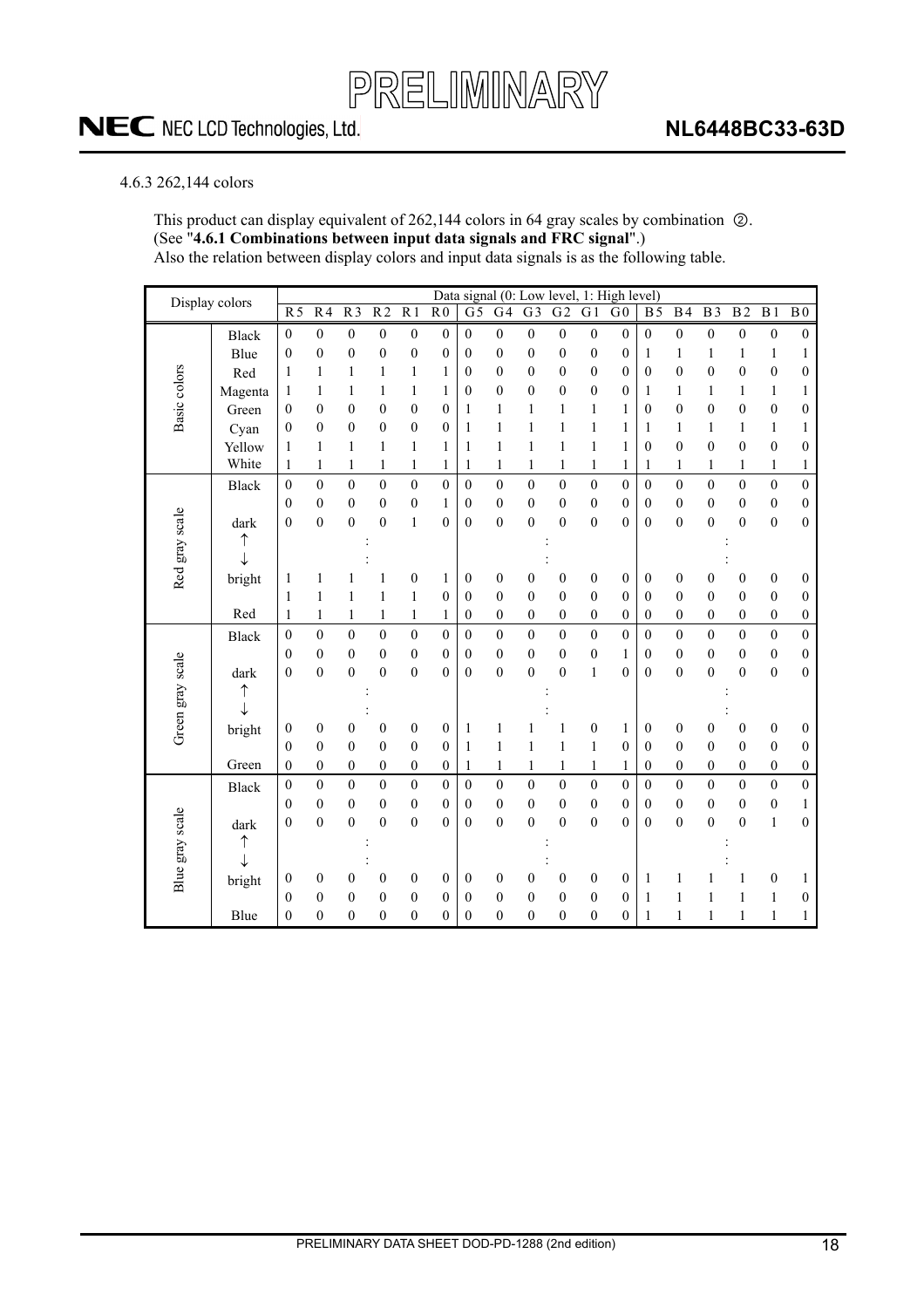#### 4.6.3 262,144 colors

This product can display equivalent of 262,144 colors in 64 gray scales by combination  $\oslash$ . (See "**4.6.1 Combinations between input data signals and FRC signal**".) Also the relation between display colors and input data signals is as the following table.

| Display colors   |              |                  |                  |                  |                  |                  |                  |                  |                  |                  |                  |                  | Data signal (0: Low level, 1: High level) |                  |                  |                  |                  |                  |                  |
|------------------|--------------|------------------|------------------|------------------|------------------|------------------|------------------|------------------|------------------|------------------|------------------|------------------|-------------------------------------------|------------------|------------------|------------------|------------------|------------------|------------------|
|                  |              | R <sub>5</sub>   | R <sub>4</sub>   | $\overline{R}$   | $\overline{R2}$  | $\overline{R1}$  | $\overline{R}0$  | $\overline{G}$   | $\overline{G4}$  | $\overline{G}$ 3 | G <sub>2</sub>   | $\overline{G1}$  | G <sub>0</sub>                            | $\overline{B5}$  | B <sub>4</sub>   | B <sub>3</sub>   | B <sub>2</sub>   | B <sub>1</sub>   | $\mathbf{B}\,0$  |
|                  | <b>Black</b> | $\mathbf{0}$     | $\boldsymbol{0}$ | $\boldsymbol{0}$ | $\boldsymbol{0}$ | $\boldsymbol{0}$ | $\boldsymbol{0}$ | $\mathbf{0}$     | $\boldsymbol{0}$ | $\boldsymbol{0}$ | $\boldsymbol{0}$ | $\boldsymbol{0}$ | $\boldsymbol{0}$                          | $\mathbf{0}$     | $\boldsymbol{0}$ | $\boldsymbol{0}$ | $\boldsymbol{0}$ | $\boldsymbol{0}$ | $\boldsymbol{0}$ |
|                  | Blue         | $\mathbf{0}$     | $\mathbf{0}$     | $\boldsymbol{0}$ | $\boldsymbol{0}$ | $\boldsymbol{0}$ | $\mathbf{0}$     | $\mathbf{0}$     | $\mathbf{0}$     | $\mathbf{0}$     | $\boldsymbol{0}$ | $\boldsymbol{0}$ | $\mathbf{0}$                              | 1                | 1                | 1                | $\mathbf{1}$     | $\mathbf{1}$     | $\mathbf{1}$     |
|                  | Red          | 1                | 1                | 1                | $\mathbf{1}$     | $\mathbf{1}$     | 1                | $\boldsymbol{0}$ | $\mathbf{0}$     | $\boldsymbol{0}$ | $\boldsymbol{0}$ | $\boldsymbol{0}$ | $\mathbf{0}$                              | $\mathbf{0}$     | $\mathbf{0}$     | $\mathbf{0}$     | $\boldsymbol{0}$ | $\boldsymbol{0}$ | $\boldsymbol{0}$ |
|                  | Magenta      | $\mathbf{1}$     | 1                | 1                | $\mathbf{1}$     | $\mathbf{1}$     | 1                | $\boldsymbol{0}$ | $\mathbf{0}$     | $\mathbf{0}$     | $\boldsymbol{0}$ | $\boldsymbol{0}$ | $\mathbf{0}$                              | 1                | 1                | 1                | $\mathbf{1}$     | $\mathbf{1}$     | $\mathbf{1}$     |
| Basic colors     | Green        | $\theta$         | $\overline{0}$   | $\overline{0}$   | $\boldsymbol{0}$ | $\boldsymbol{0}$ | $\mathbf{0}$     | 1                | $\mathbf{1}$     | 1                | 1                | 1                | 1                                         | $\mathbf{0}$     | $\mathbf{0}$     | $\mathbf{0}$     | $\mathbf{0}$     | $\boldsymbol{0}$ | $\boldsymbol{0}$ |
|                  | Cyan         | $\boldsymbol{0}$ | $\overline{0}$   | $\boldsymbol{0}$ | $\boldsymbol{0}$ | $\boldsymbol{0}$ | $\overline{0}$   | $\mathbf{1}$     | $\mathbf{1}$     | 1                | $\mathbf{1}$     | $\mathbf{1}$     | 1                                         | 1                | 1                | 1                | $\,1$            | $\,1$            | $\mathbf{1}$     |
|                  | Yellow       | $\mathbf{1}$     | $\mathbf{1}$     | 1                | $\mathbf{1}$     | $\mathbf{1}$     | $\mathbf{1}$     | $\mathbf{1}$     | $\,1$            | $\mathbf{1}$     | $\mathbf{1}$     | $\mathbf{1}$     | 1                                         | $\mathbf{0}$     | $\theta$         | $\mathbf{0}$     | $\mathbf{0}$     | $\boldsymbol{0}$ | $\boldsymbol{0}$ |
|                  | White        | $\mathbf{1}$     | $\mathbf{1}$     | $\mathbf{1}$     | $\mathbf{1}$     | $\mathbf{1}$     | $\mathbf{1}$     | 1                | $\mathbf{1}$     | 1                | $\mathbf{1}$     | 1                | 1                                         | 1                | 1                | 1                | $\mathbf{1}$     | $\mathbf{1}$     | $\mathbf{1}$     |
|                  | Black        | $\mathbf{0}$     | $\overline{0}$   | $\boldsymbol{0}$ | $\boldsymbol{0}$ | $\boldsymbol{0}$ | $\mathbf{0}$     | $\mathbf{0}$     | $\mathbf{0}$     | $\boldsymbol{0}$ | $\boldsymbol{0}$ | $\boldsymbol{0}$ | $\mathbf{0}$                              | $\mathbf{0}$     | $\mathbf{0}$     | $\mathbf{0}$     | $\boldsymbol{0}$ | $\boldsymbol{0}$ | $\boldsymbol{0}$ |
|                  |              | $\boldsymbol{0}$ | $\boldsymbol{0}$ | $\boldsymbol{0}$ | $\boldsymbol{0}$ | $\boldsymbol{0}$ | $\mathbf{1}$     | $\boldsymbol{0}$ | $\boldsymbol{0}$ | $\boldsymbol{0}$ | $\boldsymbol{0}$ | $\boldsymbol{0}$ | $\boldsymbol{0}$                          | $\mathbf{0}$     | $\boldsymbol{0}$ | $\boldsymbol{0}$ | $\boldsymbol{0}$ | $\boldsymbol{0}$ | $\boldsymbol{0}$ |
|                  | dark         | $\mathbf{0}$     | $\overline{0}$   | $\overline{0}$   | $\overline{0}$   | $\,1$            | $\theta$         | $\mathbf{0}$     | $\mathbf{0}$     | $\mathbf{0}$     | $\overline{0}$   | $\boldsymbol{0}$ | $\theta$                                  | $\mathbf{0}$     | $\mathbf{0}$     | $\mathbf{0}$     | $\mathbf{0}$     | $\boldsymbol{0}$ | $\mathbf{0}$     |
|                  |              |                  |                  |                  |                  |                  |                  |                  |                  |                  |                  |                  |                                           |                  |                  |                  |                  |                  |                  |
|                  |              |                  |                  |                  |                  |                  |                  |                  |                  |                  |                  |                  |                                           |                  |                  |                  |                  |                  |                  |
| Red gray scale   | bright       | 1                | 1                |                  | 1                | $\boldsymbol{0}$ | 1                | $\boldsymbol{0}$ | $\boldsymbol{0}$ | $\boldsymbol{0}$ | $\boldsymbol{0}$ | $\boldsymbol{0}$ | $\boldsymbol{0}$                          | $\boldsymbol{0}$ | $\boldsymbol{0}$ | $\boldsymbol{0}$ | $\boldsymbol{0}$ | $\boldsymbol{0}$ | $\boldsymbol{0}$ |
|                  |              | $\mathbf{1}$     | $\mathbf{1}$     | 1                | $\mathbf{1}$     | $\mathbf{1}$     | $\mathbf{0}$     | $\mathbf{0}$     | $\mathbf{0}$     | $\mathbf{0}$     | $\boldsymbol{0}$ | $\boldsymbol{0}$ | $\mathbf{0}$                              | $\mathbf{0}$     | $\mathbf{0}$     | $\mathbf{0}$     | $\mathbf{0}$     | $\boldsymbol{0}$ | $\boldsymbol{0}$ |
|                  | Red          | 1                | 1                | 1                | $\mathbf{1}$     | $\mathbf{1}$     | 1                | $\boldsymbol{0}$ | $\mathbf{0}$     | $\boldsymbol{0}$ | $\boldsymbol{0}$ | $\boldsymbol{0}$ | $\mathbf{0}$                              | $\mathbf{0}$     | $\mathbf{0}$     | $\boldsymbol{0}$ | $\boldsymbol{0}$ | $\boldsymbol{0}$ | $\boldsymbol{0}$ |
|                  | Black        | $\boldsymbol{0}$ | $\mathbf{0}$     | $\overline{0}$   | $\overline{0}$   | $\overline{0}$   | $\mathbf{0}$     | $\mathbf{0}$     | $\boldsymbol{0}$ | $\boldsymbol{0}$ | $\overline{0}$   | $\overline{0}$   | $\boldsymbol{0}$                          | $\mathbf{0}$     | $\boldsymbol{0}$ | $\mathbf{0}$     | $\mathbf{0}$     | $\boldsymbol{0}$ | $\mathbf 0$      |
|                  |              | $\boldsymbol{0}$ | $\boldsymbol{0}$ | $\boldsymbol{0}$ | $\boldsymbol{0}$ | $\boldsymbol{0}$ | $\mathbf{0}$     | $\mathbf{0}$     | $\boldsymbol{0}$ | $\boldsymbol{0}$ | $\boldsymbol{0}$ | $\boldsymbol{0}$ | 1                                         | $\mathbf{0}$     | $\boldsymbol{0}$ | $\boldsymbol{0}$ | $\boldsymbol{0}$ | $\boldsymbol{0}$ | $\boldsymbol{0}$ |
|                  | dark         | $\mathbf{0}$     | $\overline{0}$   | $\boldsymbol{0}$ | $\overline{0}$   | $\boldsymbol{0}$ | $\theta$         | $\mathbf{0}$     | $\boldsymbol{0}$ | $\boldsymbol{0}$ | $\overline{0}$   | $\mathbf{1}$     | $\theta$                                  | $\mathbf{0}$     | $\overline{0}$   | $\overline{0}$   | $\overline{0}$   | $\mathbf{0}$     | $\overline{0}$   |
|                  | ↑            |                  |                  |                  |                  |                  |                  |                  |                  |                  |                  |                  |                                           |                  |                  |                  |                  |                  |                  |
| Green gray scale |              |                  |                  |                  |                  |                  |                  |                  |                  |                  |                  |                  |                                           |                  |                  |                  |                  |                  |                  |
|                  | bright       | $\boldsymbol{0}$ | $\boldsymbol{0}$ | $\boldsymbol{0}$ | $\boldsymbol{0}$ | $\boldsymbol{0}$ | $\boldsymbol{0}$ | $\mathbf{1}$     | $\mathbf{1}$     |                  | 1                | $\boldsymbol{0}$ | $\mathbf{1}$                              | $\boldsymbol{0}$ | $\boldsymbol{0}$ | $\boldsymbol{0}$ | $\boldsymbol{0}$ | $\boldsymbol{0}$ | $\mathbf{0}$     |
|                  |              | $\boldsymbol{0}$ | $\overline{0}$   | $\overline{0}$   | $\overline{0}$   | $\mathbf{0}$     | $\mathbf{0}$     | $\mathbf{1}$     | $\mathbf{1}$     | $\mathbf{1}$     | 1                | $\mathbf{1}$     | $\mathbf{0}$                              | $\mathbf{0}$     | $\mathbf{0}$     | $\mathbf{0}$     | $\boldsymbol{0}$ | $\boldsymbol{0}$ | $\mathbf{0}$     |
|                  | Green        | $\boldsymbol{0}$ | $\overline{0}$   | $\boldsymbol{0}$ | $\boldsymbol{0}$ | $\boldsymbol{0}$ | $\boldsymbol{0}$ | 1                | $\mathbf{1}$     | 1                | $\mathbf{1}$     | 1                | 1                                         | $\boldsymbol{0}$ | $\mathbf{0}$     | $\boldsymbol{0}$ | $\boldsymbol{0}$ | $\boldsymbol{0}$ | $\boldsymbol{0}$ |
|                  | Black        | $\boldsymbol{0}$ | $\theta$         | $\boldsymbol{0}$ | $\overline{0}$   | $\boldsymbol{0}$ | $\theta$         | $\theta$         | $\mathbf{0}$     | $\boldsymbol{0}$ | $\overline{0}$   | $\boldsymbol{0}$ | $\overline{0}$                            | $\theta$         | $\theta$         | $\theta$         | $\mathbf{0}$     | $\mathbf{0}$     | $\boldsymbol{0}$ |
|                  |              | $\mathbf{0}$     | $\boldsymbol{0}$ | $\boldsymbol{0}$ | $\boldsymbol{0}$ | $\boldsymbol{0}$ | $\mathbf{0}$     | $\boldsymbol{0}$ | $\boldsymbol{0}$ | $\boldsymbol{0}$ | $\boldsymbol{0}$ | $\boldsymbol{0}$ | $\mathbf{0}$                              | $\boldsymbol{0}$ | $\boldsymbol{0}$ | $\boldsymbol{0}$ | $\boldsymbol{0}$ | $\boldsymbol{0}$ | $\,1$            |
| Blue gray scale  | dark         | $\boldsymbol{0}$ | $\theta$         | $\overline{0}$   | $\overline{0}$   | $\boldsymbol{0}$ | $\theta$         | $\mathbf{0}$     | $\theta$         | $\theta$         | $\overline{0}$   | $\boldsymbol{0}$ | $\theta$                                  | $\mathbf{0}$     | $\theta$         | $\theta$         | $\mathbf{0}$     | $\mathbf{1}$     | $\mathbf{0}$     |
|                  | ↑            |                  |                  |                  |                  |                  |                  |                  |                  |                  |                  |                  |                                           |                  |                  |                  |                  |                  |                  |
|                  | ↓            |                  |                  |                  |                  |                  |                  |                  |                  |                  |                  |                  |                                           |                  |                  |                  |                  |                  |                  |
|                  | bright       | $\boldsymbol{0}$ | $\boldsymbol{0}$ | 0                | $\boldsymbol{0}$ | $\boldsymbol{0}$ | $\boldsymbol{0}$ | $\boldsymbol{0}$ | $\boldsymbol{0}$ | $\boldsymbol{0}$ | $\boldsymbol{0}$ | $\boldsymbol{0}$ | $\boldsymbol{0}$                          | 1                | 1                | 1                | $\mathbf{1}$     | $\boldsymbol{0}$ | 1                |
|                  |              | $\theta$         | $\overline{0}$   | $\overline{0}$   | $\boldsymbol{0}$ | $\boldsymbol{0}$ | $\mathbf{0}$     | $\theta$         | $\theta$         | $\mathbf{0}$     | $\boldsymbol{0}$ | $\boldsymbol{0}$ | $\mathbf{0}$                              | 1                | 1                | 1                | $\mathbf{1}$     | $\mathbf{1}$     | $\boldsymbol{0}$ |
|                  | Blue         | $\boldsymbol{0}$ | $\overline{0}$   | $\boldsymbol{0}$ | $\boldsymbol{0}$ | $\boldsymbol{0}$ | $\overline{0}$   | $\mathbf{0}$     | $\mathbf{0}$     | $\boldsymbol{0}$ | $\boldsymbol{0}$ | $\boldsymbol{0}$ | $\boldsymbol{0}$                          | 1                | 1                | 1                | $\mathbf{1}$     | $\mathbf{1}$     | 1                |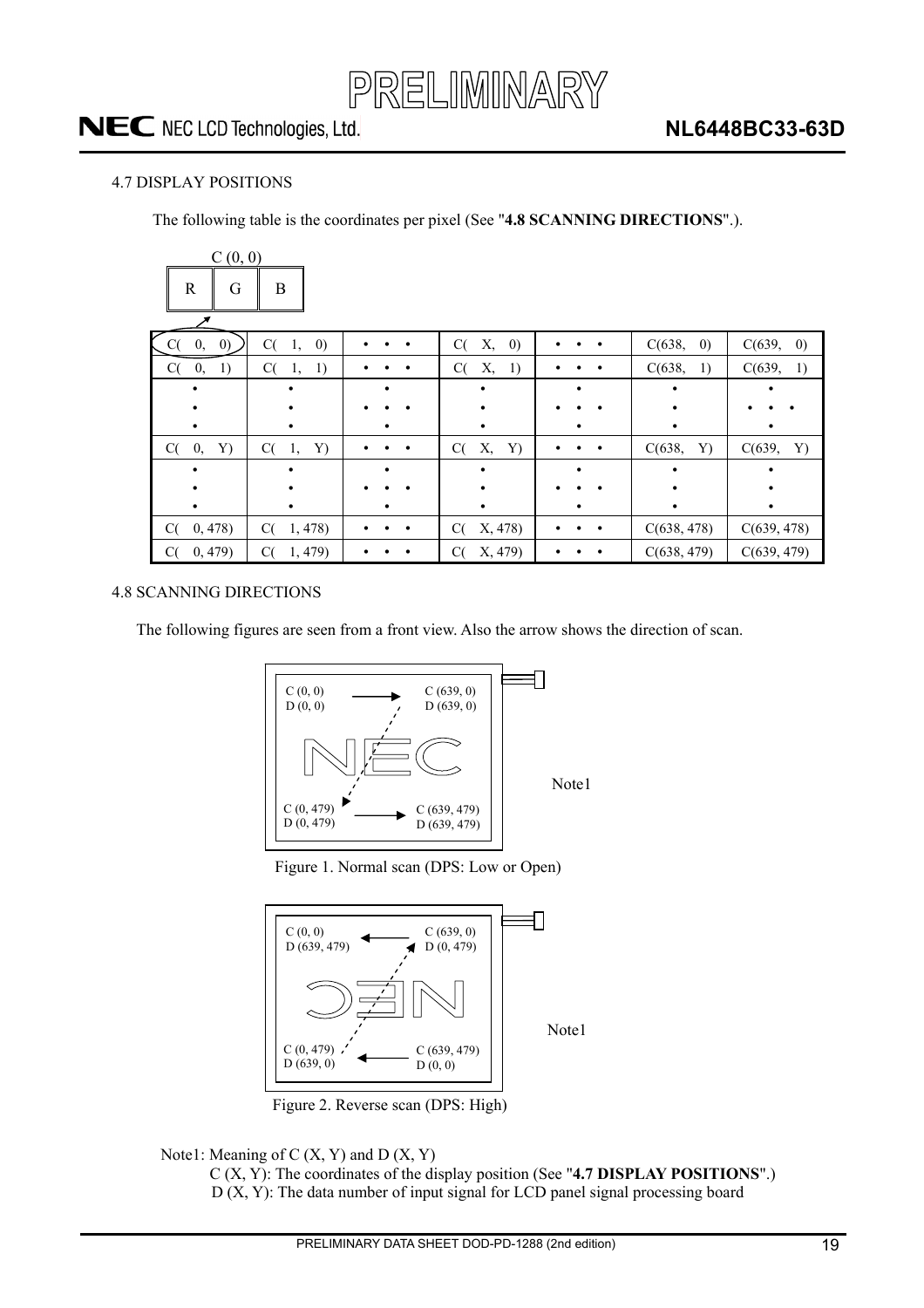

#### 4.7 DISPLAY POSITIONS

The following table is the coordinates per pixel (See "**4.8 SCANNING DIRECTIONS**".).

| C(0, 0)           |                               |   |                               |   |                             |                             |
|-------------------|-------------------------------|---|-------------------------------|---|-----------------------------|-----------------------------|
| $\mathbb{R}$<br>G | B                             |   |                               |   |                             |                             |
| (0)<br>0,         | C(<br>$\left( 0\right)$<br>1, |   | Х,<br>C(<br>$\left( 0\right)$ |   | $\left( 0\right)$<br>C(638, | C(639,<br>$\left( 0\right)$ |
| 0,<br>C(<br>1)    | C(<br>1)<br>1,                |   | C(<br>Х,<br>1)                |   | C(638,<br>1)                | C(639,<br>1)                |
|                   |                               | ٠ |                               |   |                             |                             |
|                   |                               |   |                               |   |                             |                             |
|                   |                               |   |                               |   |                             |                             |
| C(<br>0,<br>Y)    | C(<br>Y)<br>1,                |   | Х,<br>Y)<br>C(                |   | C(638,<br>Y)                | C(639,<br>Y)                |
|                   |                               | ٠ |                               | ٠ |                             |                             |
|                   |                               |   |                               |   |                             |                             |
|                   |                               |   |                               |   |                             |                             |
| C(<br>0,478)      | 1,478<br>C(                   |   | X, 478)<br>C(                 |   | C(638, 478)                 | C(639, 478)                 |
| 0, 479)<br>C(     | 1,479<br>C(                   |   | X, 479)<br>C(                 |   | C(638, 479)                 | C(639, 479)                 |

#### 4.8 SCANNING DIRECTIONS

The following figures are seen from a front view. Also the arrow shows the direction of scan.



Note1

Figure 1. Normal scan (DPS: Low or Open)



Figure 2. Reverse scan (DPS: High)

Note1: Meaning of  $C(X, Y)$  and  $D(X, Y)$ 

C (X, Y): The coordinates of the display position (See "**4.7 DISPLAY POSITIONS**".)  $D(X, Y)$ : The data number of input signal for LCD panel signal processing board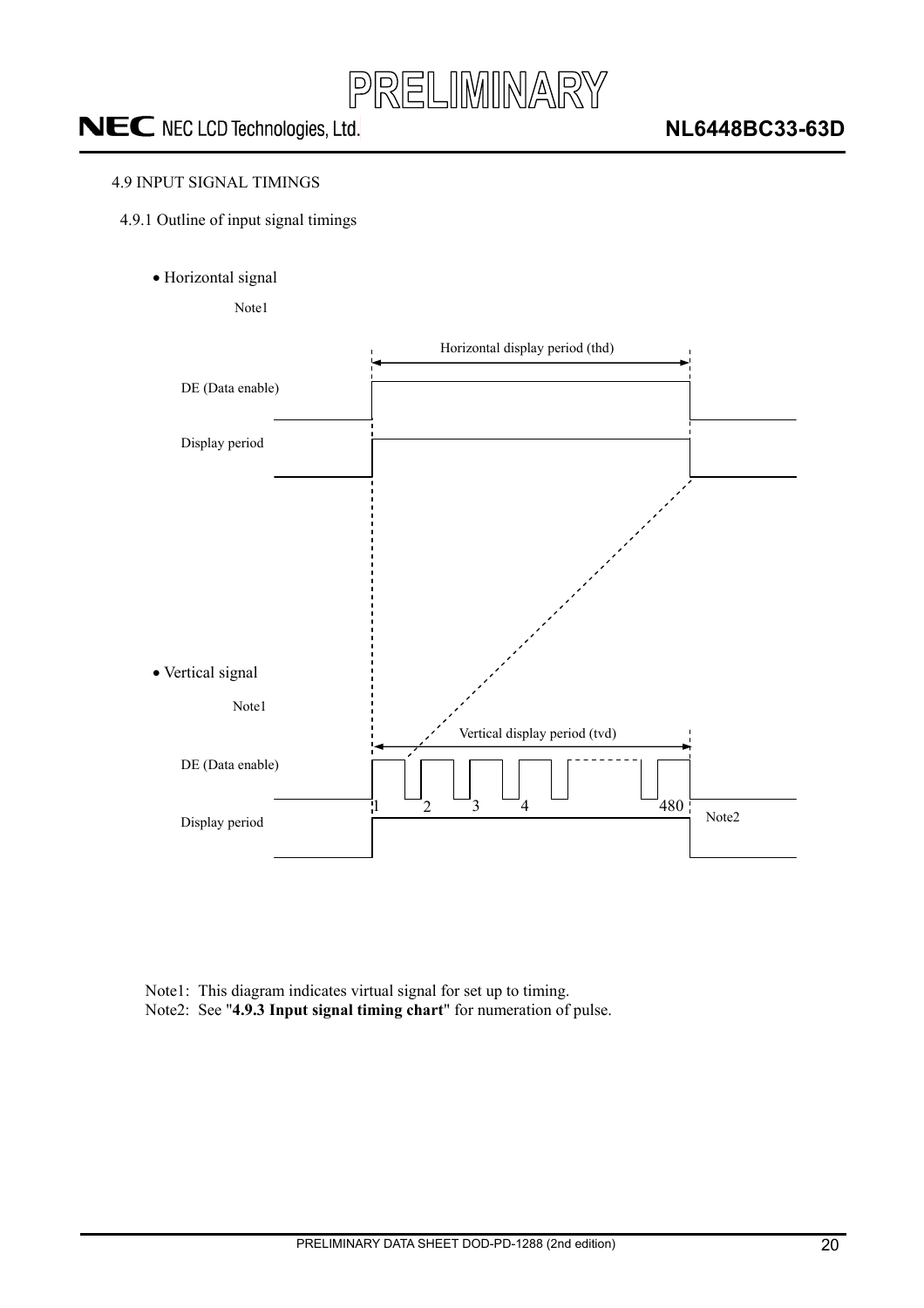

#### 4.9 INPUT SIGNAL TIMINGS

- 4.9.1 Outline of input signal timings
	- · Horizontal signal

Note1



Note1: This diagram indicates virtual signal for set up to timing. Note2: See "**4.9.3 Input signal timing chart**" for numeration of pulse.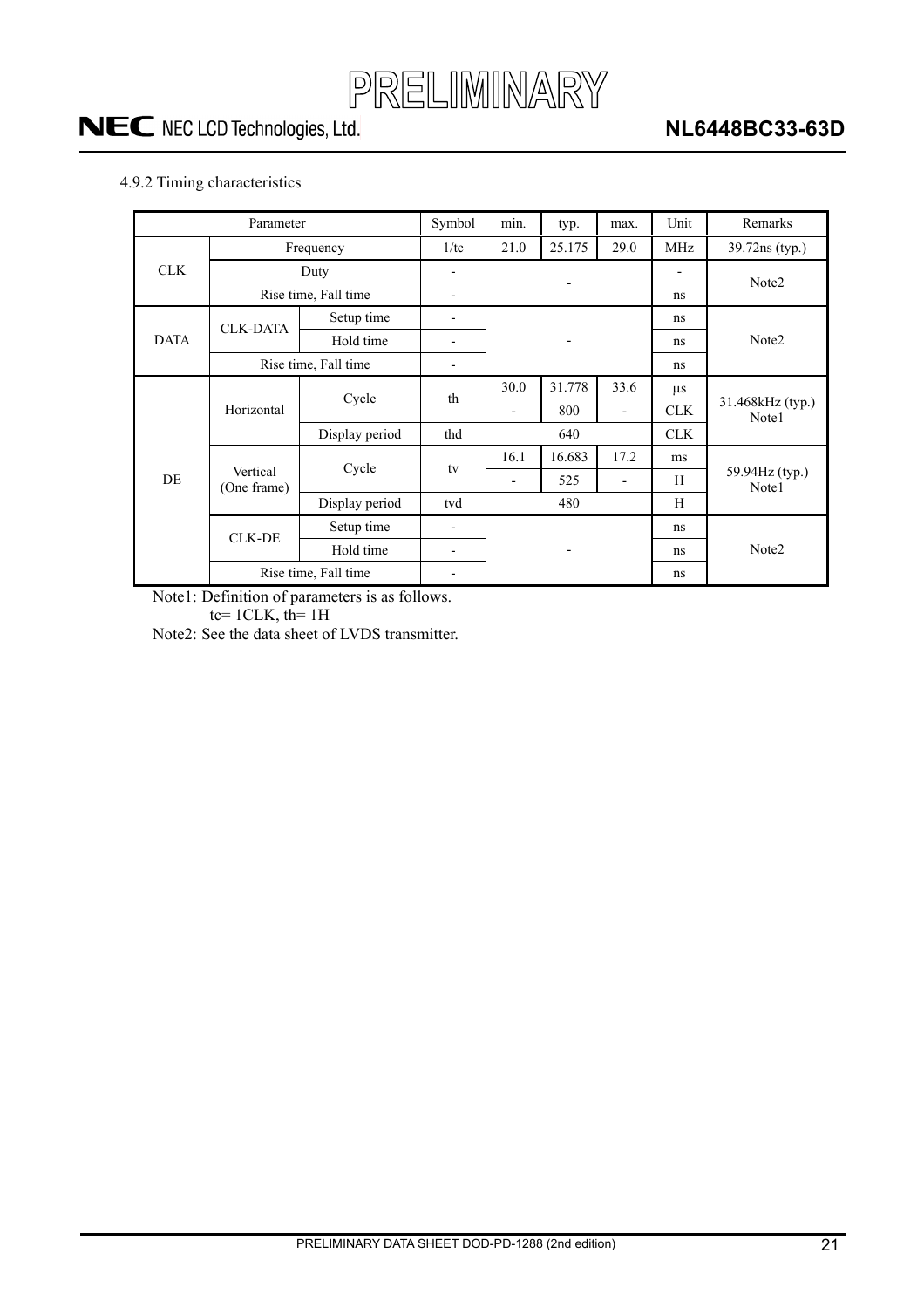

#### 4.9.2 Timing characteristics

|             | Parameter               |                      | Symbol                   | min. | typ.   | max.                     | Unit                     | Remarks                   |  |  |
|-------------|-------------------------|----------------------|--------------------------|------|--------|--------------------------|--------------------------|---------------------------|--|--|
|             |                         | Frequency            |                          |      | 25.175 | 29.0                     | MHz                      | 39.72ns (typ.)            |  |  |
| <b>CLK</b>  |                         | Duty                 |                          |      |        |                          | $\overline{\phantom{0}}$ | Note2                     |  |  |
|             |                         | Rise time, Fall time | $\overline{\phantom{a}}$ |      |        | ns                       |                          |                           |  |  |
|             | <b>CLK-DATA</b>         | Setup time           | -                        |      |        |                          | ns                       |                           |  |  |
| <b>DATA</b> |                         | Hold time            | -                        |      |        |                          | ns.                      | Note <sub>2</sub>         |  |  |
|             |                         | Rise time, Fall time |                          |      |        |                          | ns                       |                           |  |  |
|             |                         | Cycle                | th                       | 30.0 | 31.778 | 33.6                     | $\mu$ s                  |                           |  |  |
|             | Horizontal              |                      |                          | -    | 800    | $\overline{\phantom{a}}$ | <b>CLK</b>               | 31.468kHz (typ.)<br>Note1 |  |  |
|             |                         | Display period       | thd                      | 640  |        |                          | <b>CLK</b>               |                           |  |  |
|             |                         | Cycle                |                          | 16.1 | 16.683 | 17.2                     | ms                       |                           |  |  |
| DE          | Vertical<br>(One frame) |                      | tv                       | -    | 525    |                          | H                        | 59.94Hz (typ.)<br>Note1   |  |  |
|             |                         | Display period       | tvd                      |      | 480    |                          | H                        |                           |  |  |
|             | <b>CLK-DE</b>           | Setup time           | -                        |      |        |                          | ns                       |                           |  |  |
|             |                         | Hold time            | -                        |      |        |                          | ns                       | Note <sub>2</sub>         |  |  |
|             | Rise time, Fall time    |                      |                          |      |        | ns                       |                          |                           |  |  |

Note1: Definition of parameters is as follows.

tc=  $1CLK$ , th=  $1H$ 

Note2: See the data sheet of LVDS transmitter.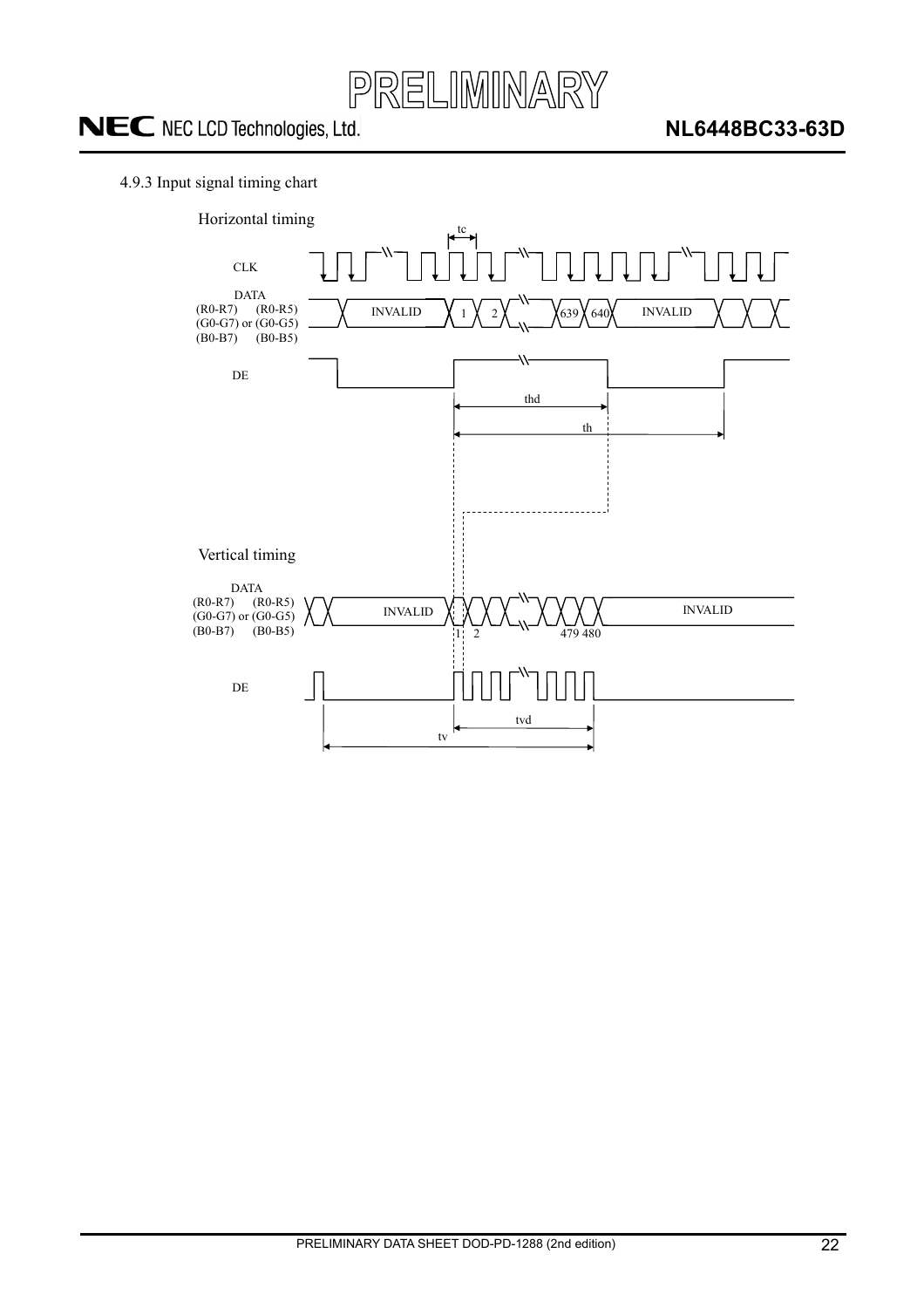

#### 4.9.3 Input signal timing chart

![](_page_21_Figure_4.jpeg)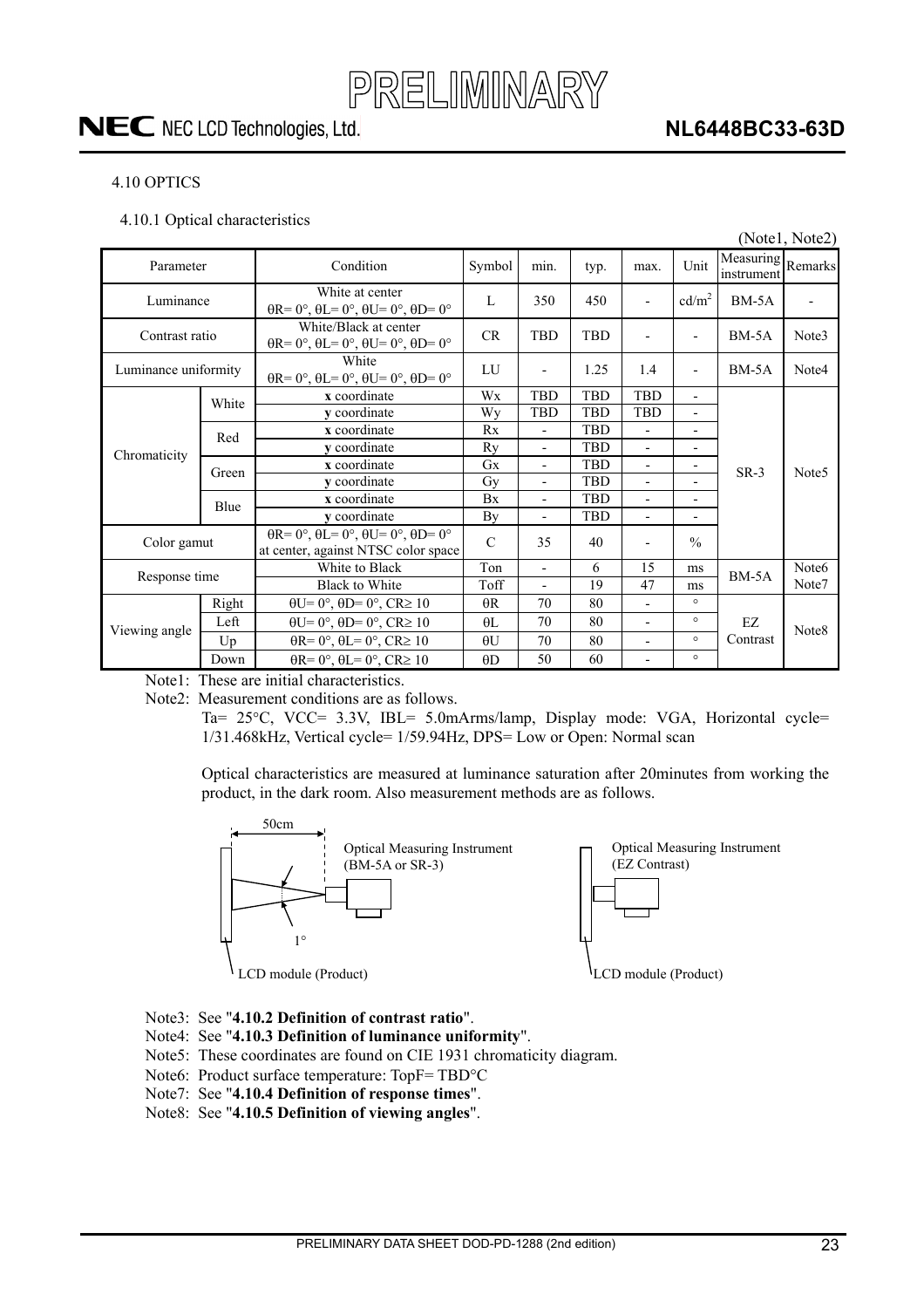![](_page_22_Picture_0.jpeg)

### **NL6448BC33-63D**

#### 4.10 OPTICS

4.10.1 Optical characteristics

|                      |       |                                                                                                                  |               |                          |            |                          |                          |                                 | (Notel, Note2)    |
|----------------------|-------|------------------------------------------------------------------------------------------------------------------|---------------|--------------------------|------------|--------------------------|--------------------------|---------------------------------|-------------------|
| Parameter            |       | Condition                                                                                                        | Symbol        | min.                     | typ.       | max.                     | Unit                     | Measuring Remarks<br>instrument |                   |
| Luminance            |       | White at center<br>$\theta$ R= $0^\circ$ , $\theta$ L= $0^\circ$ , $\theta$ U= $0^\circ$ , $\theta$ D= $0^\circ$ | L             | 350                      | 450        | ٠                        | cd/m <sup>2</sup>        | $BM-5A$                         |                   |
| Contrast ratio       |       | White/Black at center<br>$\theta$ R= 0°, $\theta$ L= 0°, $\theta$ U= 0°, $\theta$ D= 0°                          | CR            | <b>TBD</b>               | <b>TBD</b> | $\overline{\phantom{a}}$ | $\overline{\phantom{a}}$ | $BM-5A$                         | Note3             |
| Luminance uniformity |       | White<br>$\theta$ R= 0°, $\theta$ L= 0°, $\theta$ U= 0°, $\theta$ D= 0°                                          | LU            |                          | 1.25       | 1.4                      | $\overline{a}$           | $BM-5A$                         | Note4             |
|                      | White | x coordinate                                                                                                     | Wx            | <b>TBD</b>               | TBD        | <b>TBD</b>               | $\overline{\phantom{a}}$ |                                 |                   |
| Chromaticity         |       | v coordinate                                                                                                     | Wy            | <b>TBD</b>               | <b>TBD</b> | <b>TBD</b>               | $\overline{\phantom{a}}$ |                                 | Note <sub>5</sub> |
|                      | Red   | x coordinate                                                                                                     | Rx            | $\overline{\phantom{a}}$ | <b>TBD</b> | $\overline{\phantom{0}}$ | $\overline{\phantom{a}}$ |                                 |                   |
|                      |       | v coordinate                                                                                                     | Ry            |                          | <b>TBD</b> |                          | ٠                        |                                 |                   |
|                      | Green | x coordinate                                                                                                     | Gx            |                          | <b>TBD</b> | $\overline{a}$           |                          | $SR-3$                          |                   |
|                      |       | y coordinate                                                                                                     | Gy            | $\overline{\phantom{a}}$ | <b>TBD</b> | $\overline{a}$           |                          |                                 |                   |
|                      | Blue  | x coordinate                                                                                                     | Bx            | $\overline{\phantom{0}}$ | TBD        | $\overline{a}$           | $\blacksquare$           |                                 |                   |
|                      |       | v coordinate                                                                                                     | By            | $\overline{\phantom{a}}$ | <b>TBD</b> | $\overline{\phantom{0}}$ | $\overline{\phantom{0}}$ |                                 |                   |
| Color gamut          |       | $\theta$ R= 0°, $\theta$ L= 0°, $\theta$ U= 0°, $\theta$ D= 0°<br>at center, against NTSC color space            | $\mathcal{C}$ | 35                       | 40         |                          | $\frac{0}{0}$            |                                 |                   |
| Response time        |       | White to Black                                                                                                   | Ton           | $\overline{\phantom{a}}$ | 6          | 15                       | ms                       | $BM-5A$                         | Note <sub>6</sub> |
|                      |       | <b>Black to White</b>                                                                                            | Toff          | $\overline{\phantom{a}}$ | 19         | 47                       | ms                       |                                 | Note7             |
|                      | Right | $\theta U = 0^\circ$ , $\theta D = 0^\circ$ , $CR \ge 10$                                                        | $\theta$ R    | 70                       | 80         | $\overline{a}$           | $\circ$                  |                                 |                   |
|                      | Left  | $\theta U = 0^\circ$ , $\theta D = 0^\circ$ , $CR \ge 10$                                                        | $\theta$ L    | 70                       | 80         | $\overline{\phantom{0}}$ | $\circ$                  | EZ                              |                   |
| Viewing angle        | Up    | $\theta$ R= 0°, $\theta$ L= 0°, CR≥ 10                                                                           | $\theta U$    | 70                       | 80         | $\overline{a}$           | $\circ$                  | Contrast                        | Note <sub>8</sub> |
|                      | Down  | $\theta$ R= 0°, $\theta$ L= 0°, CR≥ 10                                                                           | $\theta$ D    | 50                       | 60         | $\overline{\phantom{0}}$ | $\circ$                  |                                 |                   |

Note1: These are initial characteristics.

Note2: Measurement conditions are as follows.

Ta= 25°C, VCC= 3.3V, IBL= 5.0mArms/lamp, Display mode: VGA, Horizontal cycle= 1/31.468kHz, Vertical cycle= 1/59.94Hz, DPS= Low or Open: Normal scan

Optical characteristics are measured at luminance saturation after 20minutes from working the product, in the dark room. Also measurement methods are as follows.

![](_page_22_Figure_10.jpeg)

Optical Measuring Instrument (EZ Contrast)

![](_page_22_Figure_12.jpeg)

LCD module (Product)

- Note3: See "**4.10.2 Definition of contrast ratio**".
- Note4: See "**4.10.3 Definition of luminance uniformity**".
- Note5: These coordinates are found on CIE 1931 chromaticity diagram.
- Note6: Product surface temperature: TopF= TBD°C
- Note7: See "**4.10.4 Definition of response times**".
- Note8: See "**4.10.5 Definition of viewing angles**".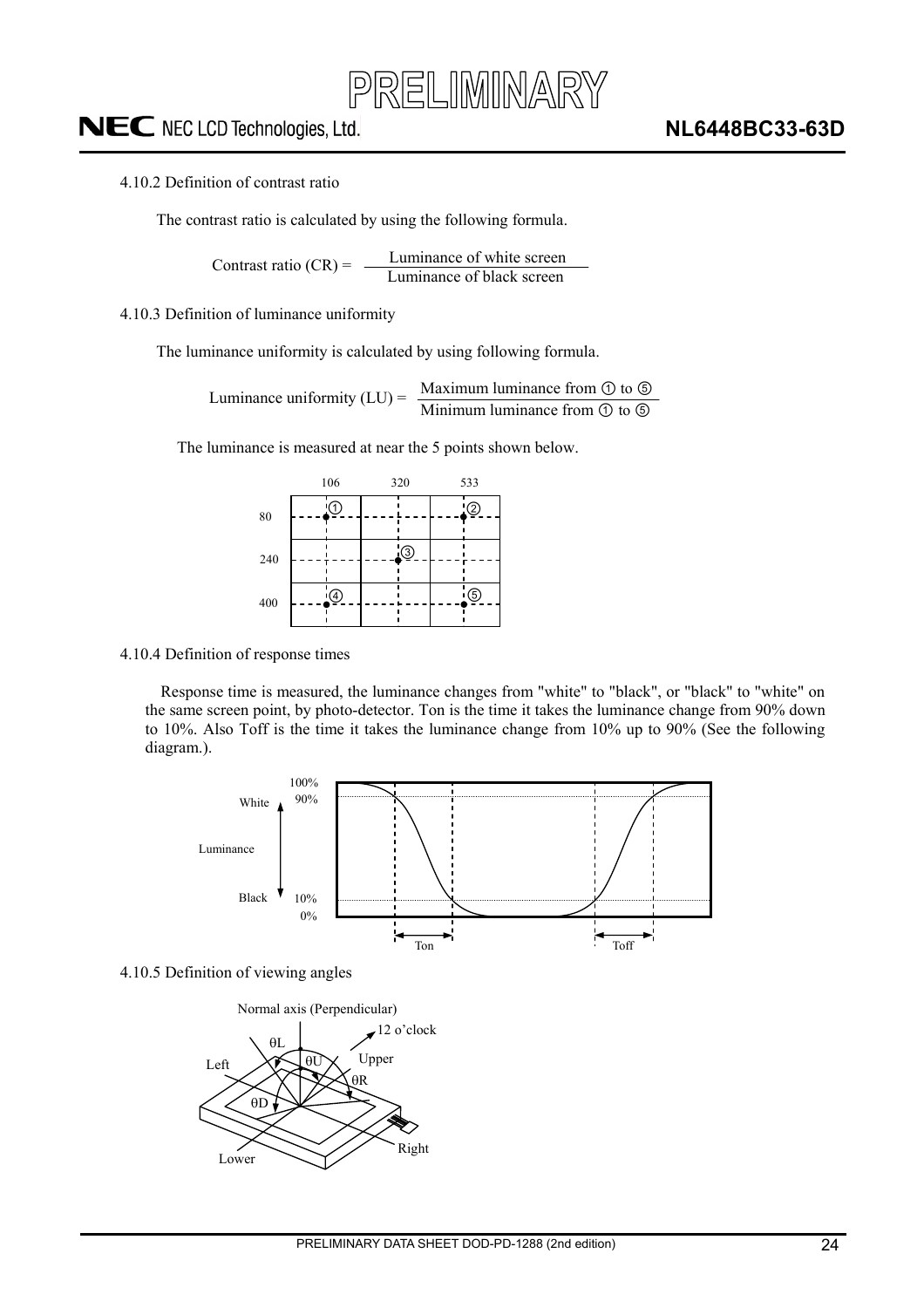#### 4.10.2 Definition of contrast ratio

The contrast ratio is calculated by using the following formula.

Luminance of white screen Contrast ratio  $(CR) = \frac{L}{L}$  Luminance of black screen

4.10.3 Definition of luminance uniformity

The luminance uniformity is calculated by using following formula.

Maximum luminance from  $\odot$  to  $\odot$ Luminance uniformity  $(LU) = \frac{Maxmum$  luminance from  $\bigcirc$  to  $\bigcirc$ 

The luminance is measured at near the 5 points shown below.

|     | 106        | 320         | 533 |  |  |  |
|-----|------------|-------------|-----|--|--|--|
| 80  | 'Û         |             | '②  |  |  |  |
| 240 |            | $\circledS$ |     |  |  |  |
| 400 | $\bigcirc$ |             | ⑤   |  |  |  |

4.10.4 Definition of response times

Response time is measured, the luminance changes from "white" to "black", or "black" to "white" on the same screen point, by photo-detector. Ton is the time it takes the luminance change from 90% down to 10%. Also Toff is the time it takes the luminance change from 10% up to 90% (See the following diagram.).

![](_page_23_Figure_13.jpeg)

4.10.5 Definition of viewing angles

![](_page_23_Figure_15.jpeg)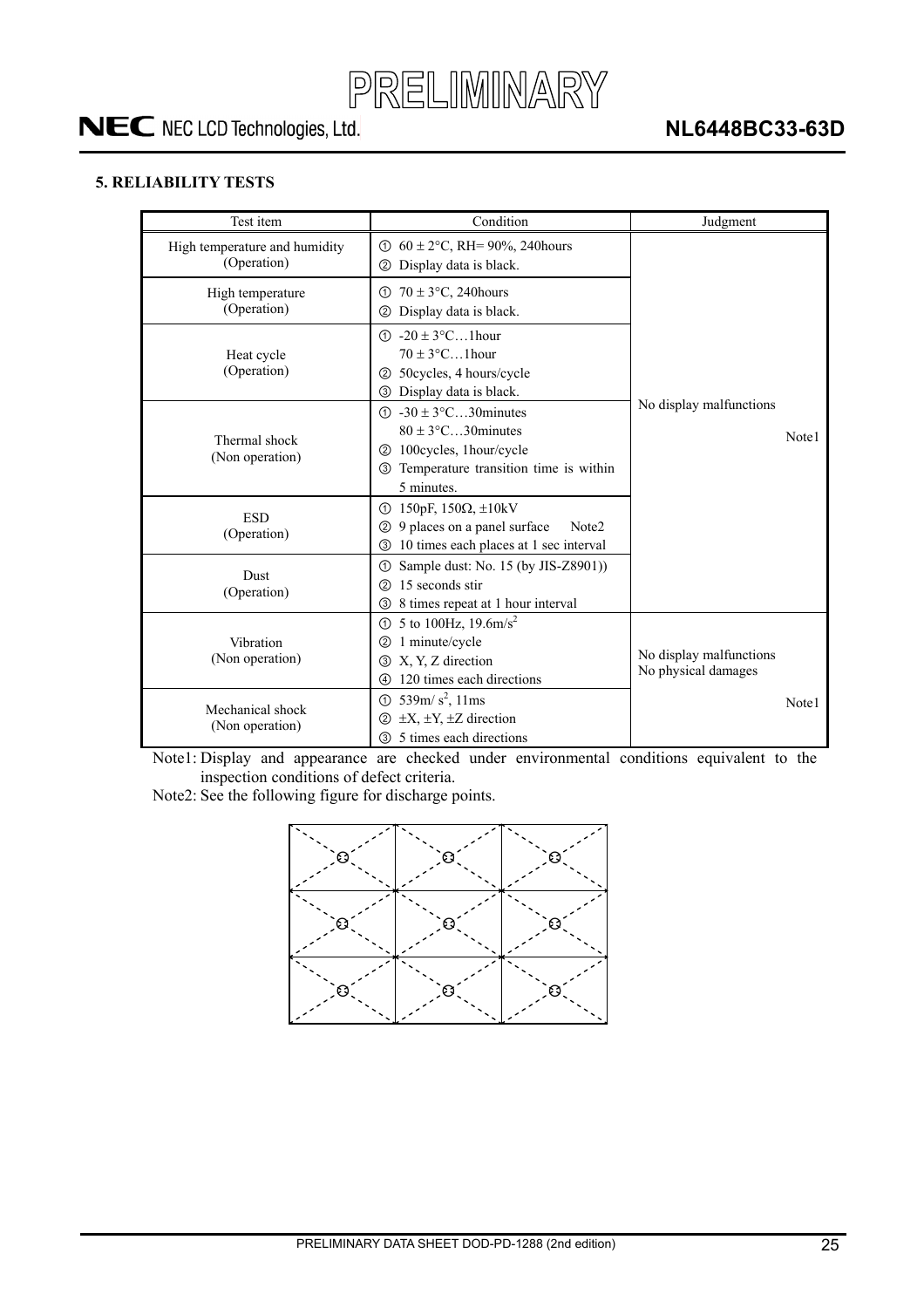![](_page_24_Picture_0.jpeg)

#### **5. RELIABILITY TESTS**

| Test item                                    | Condition                                                                                                                                                                          | Judgment                                       |
|----------------------------------------------|------------------------------------------------------------------------------------------------------------------------------------------------------------------------------------|------------------------------------------------|
| High temperature and humidity<br>(Operation) | $\odot$ 60 ± 2°C, RH= 90%, 240 hours<br>Display data is black.<br>(2)                                                                                                              |                                                |
| High temperature<br>(Operation)              | $70 \pm 3$ °C, 240 hours<br>①<br>Display data is black.<br>②                                                                                                                       |                                                |
| Heat cycle<br>(Operation)                    | $\textcircled{1}$ -20 ± 3°C1 hour<br>$70 \pm 3$ °C1 hour<br>50 cycles, 4 hours/cycle<br>(2)<br>3 Display data is black.                                                            |                                                |
| Thermal shock<br>(Non operation)             | $\textcircled{1}$ -30 ± 3 $\textcircled{c}$ 30 minutes<br>$80 \pm 3$ °C30 minutes<br>100 cycles, 1 hour/cycle<br>(2)<br>Temperature transition time is within<br>(3)<br>5 minutes. | No display malfunctions<br>Note1               |
| <b>ESD</b><br>(Operation)                    | ① 150pF, 150Ω, $\pm$ 10kV<br>9 places on a panel surface<br>Note2<br>②<br>10 times each places at 1 sec interval<br>③                                                              |                                                |
| <b>Dust</b><br>(Operation)                   | Sample dust: No. 15 (by JIS-Z8901))<br>①<br>15 seconds stir<br>②<br>8 times repeat at 1 hour interval<br>③                                                                         |                                                |
| Vibration<br>(Non operation)                 | 5 to 100Hz, $19.6 \text{m/s}^2$<br>ന<br>1 minute/cycle<br>②<br>X, Y, Z direction<br>③<br>120 times each directions<br>4                                                            | No display malfunctions<br>No physical damages |
| Mechanical shock<br>(Non operation)          | 539m/ $s^2$ , 11ms<br>➀<br>$\pm X$ , $\pm Y$ , $\pm Z$ direction<br>②<br>5 times each directions<br>③                                                                              | Note1                                          |

Note1: Display and appearance are checked under environmental conditions equivalent to the inspection conditions of defect criteria.

Note2: See the following figure for discharge points.

![](_page_24_Figure_7.jpeg)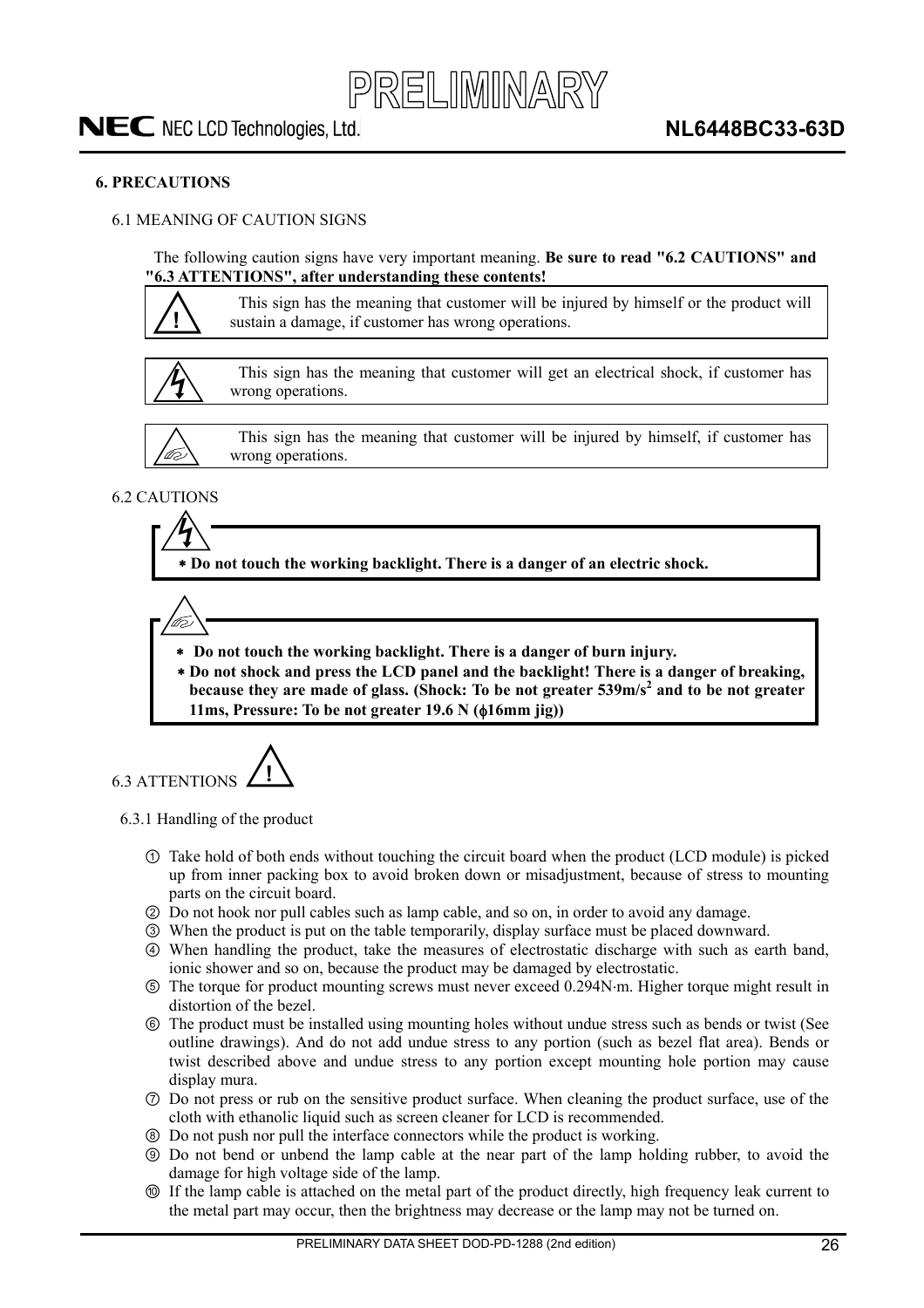#### **6. PRECAUTIONS**

#### 6.1 MEANING OF CAUTION SIGNS

The following caution signs have very important meaning. **Be sure to read "6.2 CAUTIONS" and "6.3 ATTENTIONS", after understanding these contents!** 

![](_page_25_Picture_6.jpeg)

This sign has the meaning that customer will be injured by himself or the product will sustain a damage, if customer has wrong operations.

![](_page_25_Picture_8.jpeg)

This sign has the meaning that customer will get an electrical shock, if customer has wrong operations.

![](_page_25_Picture_10.jpeg)

This sign has the meaning that customer will be injured by himself, if customer has wrong operations.

#### 6.2 CAUTIONS

 **Do not touch the working backlight. There is a danger of an electric shock.** 

![](_page_25_Picture_14.jpeg)

- **Do not touch the working backlight. There is a danger of burn injury.**
- **Do not shock and press the LCD panel and the backlight! There is a danger of breaking,**  because they are made of glass. (Shock: To be not greater 539m/s<sup>2</sup> and to be not greater **11ms, Pressure: To be not greater 19.6 N (** $\phi$ **16mm jig))**

6.3 ATTENTIONS **!**

6.3.1 Handling of the product

- Take hold of both ends without touching the circuit board when the product (LCD module) is picked up from inner packing box to avoid broken down or misadjustment, because of stress to mounting parts on the circuit board.
- ཱ Do not hook nor pull cables such as lamp cable, and so on, in order to avoid any damage.
- ི When the product is put on the table temporarily, display surface must be placed downward.
- ཱི When handling the product, take the measures of electrostatic discharge with such as earth band, ionic shower and so on, because the product may be damaged by electrostatic.
- ུ The torque for product mounting screws must never exceed 0.294Nm. Higher torque might result in distortion of the bezel.
- ཱུ The product must be installed using mounting holes without undue stress such as bends or twist (See outline drawings). And do not add undue stress to any portion (such as bezel flat area). Bends or twist described above and undue stress to any portion except mounting hole portion may cause display mura.
- ྲྀ Do not press or rub on the sensitive product surface. When cleaning the product surface, use of the cloth with ethanolic liquid such as screen cleaner for LCD is recommended.
- ཷ Do not push nor pull the interface connectors while the product is working.
- ླྀ Do not bend or unbend the lamp cable at the near part of the lamp holding rubber, to avoid the damage for high voltage side of the lamp.
- ཹ If the lamp cable is attached on the metal part of the product directly, high frequency leak current to the metal part may occur, then the brightness may decrease or the lamp may not be turned on.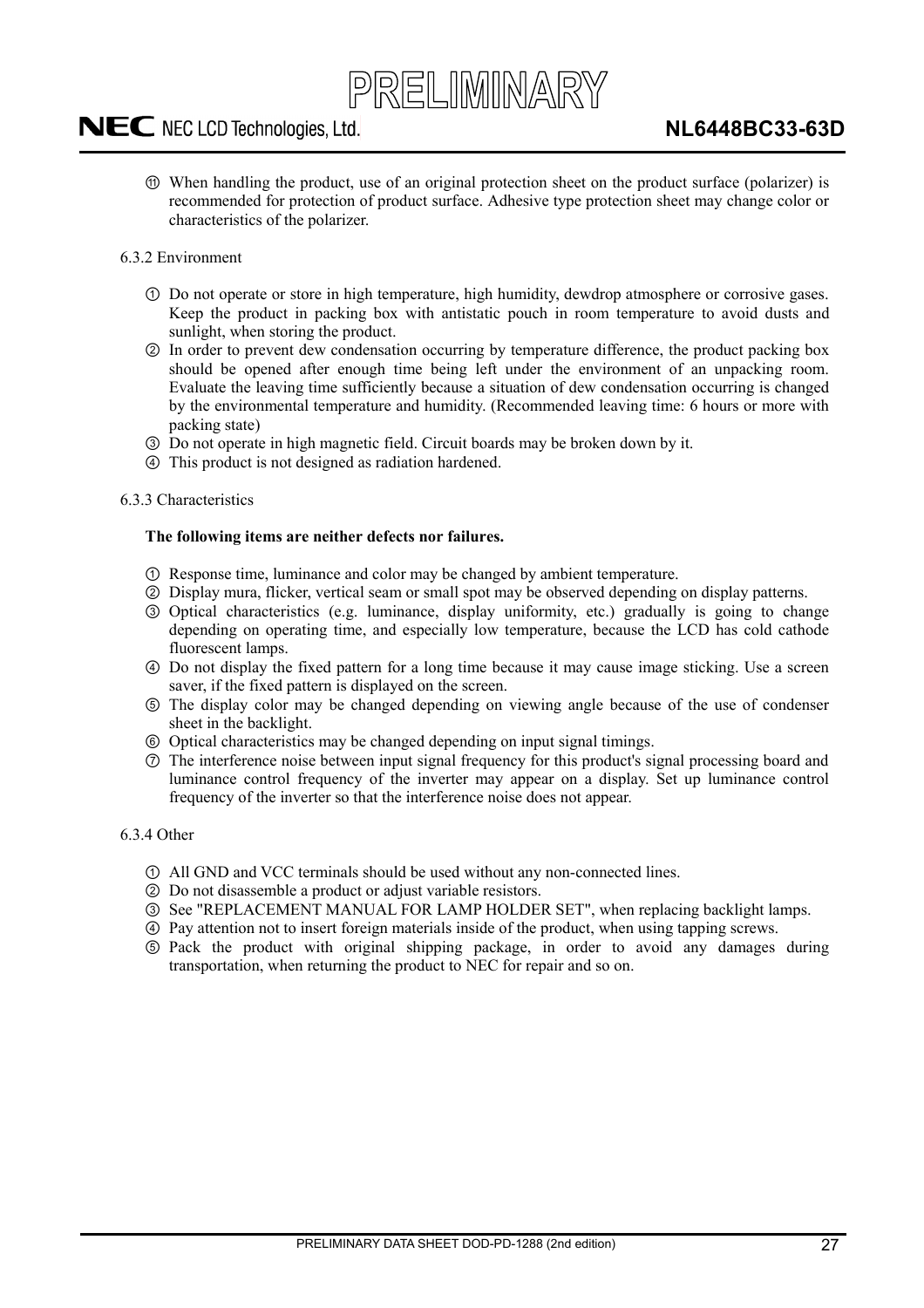# PRELIMINARY

### NEC NEC LCD Technologies, Ltd.

- ེ When handling the product, use of an original protection sheet on the product surface (polarizer) is recommended for protection of product surface. Adhesive type protection sheet may change color or characteristics of the polarizer.
- 6.3.2 Environment
	- Do not operate or store in high temperature, high humidity, dewdrop atmosphere or corrosive gases. Keep the product in packing box with antistatic pouch in room temperature to avoid dusts and sunlight, when storing the product.
	- ཱ In order to prevent dew condensation occurring by temperature difference, the product packing box should be opened after enough time being left under the environment of an unpacking room. Evaluate the leaving time sufficiently because a situation of dew condensation occurring is changed by the environmental temperature and humidity. (Recommended leaving time: 6 hours or more with packing state)
	- ི Do not operate in high magnetic field. Circuit boards may be broken down by it.
	- ཱི This product is not designed as radiation hardened.

#### 6.3.3 Characteristics

#### **The following items are neither defects nor failures.**

- Response time, luminance and color may be changed by ambient temperature.
- ཱ Display mura, flicker, vertical seam or small spot may be observed depending on display patterns.
- ི Optical characteristics (e.g. luminance, display uniformity, etc.) gradually is going to change depending on operating time, and especially low temperature, because the LCD has cold cathode fluorescent lamps.
- ཱི Do not display the fixed pattern for a long time because it may cause image sticking. Use a screen saver, if the fixed pattern is displayed on the screen.
- ུ The display color may be changed depending on viewing angle because of the use of condenser sheet in the backlight.
- ཱུ Optical characteristics may be changed depending on input signal timings.
- ྲྀ The interference noise between input signal frequency for this product's signal processing board and luminance control frequency of the inverter may appear on a display. Set up luminance control frequency of the inverter so that the interference noise does not appear.

#### 6.3.4 Other

- All GND and VCC terminals should be used without any non-connected lines.
- ཱ Do not disassemble a product or adjust variable resistors.
- ི See "REPLACEMENT MANUAL FOR LAMP HOLDER SET", when replacing backlight lamps.
- ཱི Pay attention not to insert foreign materials inside of the product, when using tapping screws.
- ུ Pack the product with original shipping package, in order to avoid any damages during transportation, when returning the product to NEC for repair and so on.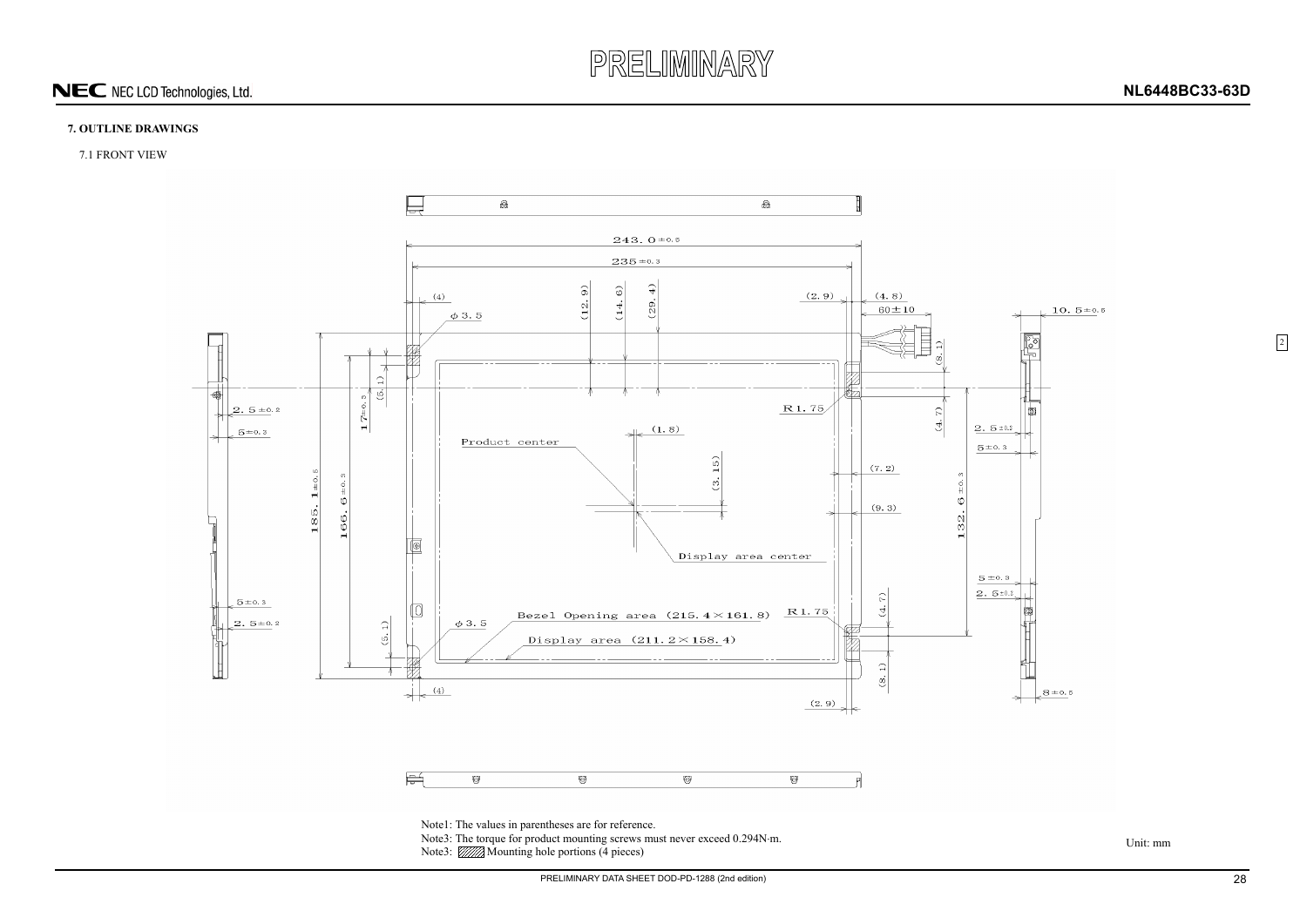![](_page_27_Picture_0.jpeg)

PRELIMINARY DATA SHEET DOD-PD-1288 (2nd edition) 28

#### **7. OUTLINE DRAWINGS**

#### 7.1 FRONT VIEW

Unit: mm

![](_page_27_Figure_4.jpeg)

2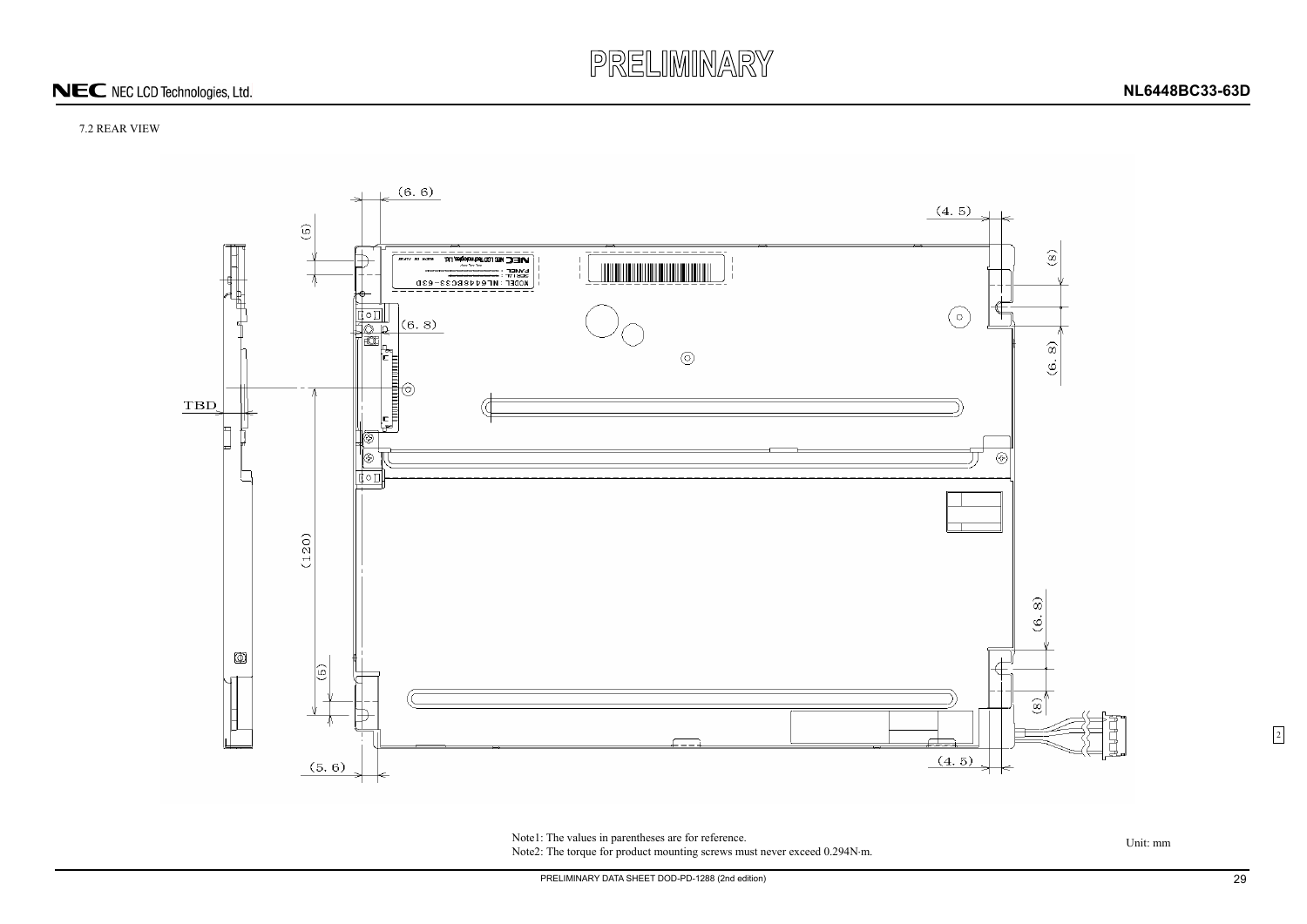![](_page_28_Picture_0.jpeg)

#### 7.2 REAR VIEW

![](_page_28_Figure_3.jpeg)

Note1: The values in parentheses are for reference.<br>Unit: mm Note2: The torque for product mounting screws must never exceed 0.294N·m.

2